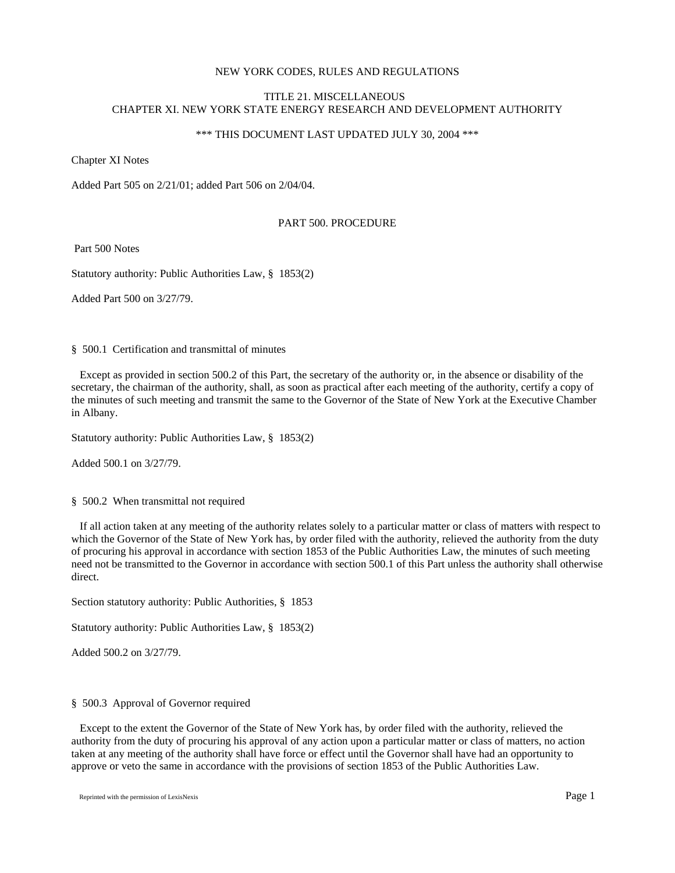# NEW YORK CODES, RULES AND REGULATIONS

# TITLE 21. MISCELLANEOUS CHAPTER XI. NEW YORK STATE ENERGY RESEARCH AND DEVELOPMENT AUTHORITY

# \*\*\* THIS DOCUMENT LAST UPDATED JULY 30, 2004 \*\*\*

Chapter XI Notes

Added Part 505 on 2/21/01; added Part 506 on 2/04/04.

## PART 500. PROCEDURE

Part 500 Notes

Statutory authority: Public Authorities Law, § 1853(2)

Added Part 500 on 3/27/79.

§ 500.1 Certification and transmittal of minutes

 Except as provided in section 500.2 of this Part, the secretary of the authority or, in the absence or disability of the secretary, the chairman of the authority, shall, as soon as practical after each meeting of the authority, certify a copy of the minutes of such meeting and transmit the same to the Governor of the State of New York at the Executive Chamber in Albany.

Statutory authority: Public Authorities Law, § 1853(2)

Added 500.1 on 3/27/79.

§ 500.2 When transmittal not required

 If all action taken at any meeting of the authority relates solely to a particular matter or class of matters with respect to which the Governor of the State of New York has, by order filed with the authority, relieved the authority from the duty of procuring his approval in accordance with section 1853 of the Public Authorities Law, the minutes of such meeting need not be transmitted to the Governor in accordance with section 500.1 of this Part unless the authority shall otherwise direct.

Section statutory authority: Public Authorities, § 1853

Statutory authority: Public Authorities Law, § 1853(2)

Added 500.2 on 3/27/79.

## § 500.3 Approval of Governor required

 Except to the extent the Governor of the State of New York has, by order filed with the authority, relieved the authority from the duty of procuring his approval of any action upon a particular matter or class of matters, no action taken at any meeting of the authority shall have force or effect until the Governor shall have had an opportunity to approve or veto the same in accordance with the provisions of section 1853 of the Public Authorities Law.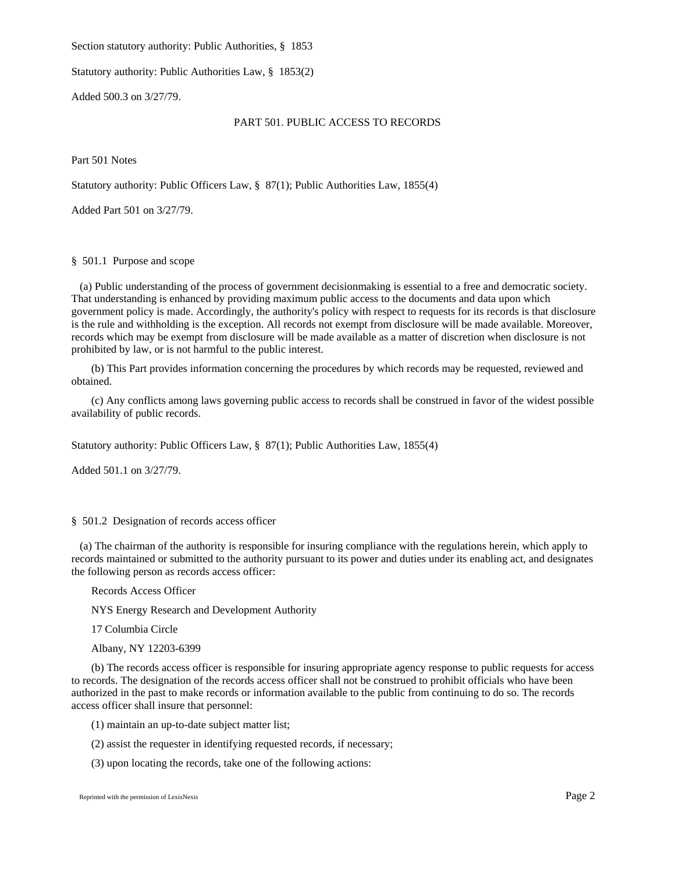Section statutory authority: Public Authorities, § 1853

Statutory authority: Public Authorities Law, § 1853(2)

Added 500.3 on 3/27/79.

### PART 501. PUBLIC ACCESS TO RECORDS

Part 501 Notes

Statutory authority: Public Officers Law, § 87(1); Public Authorities Law, 1855(4)

Added Part 501 on 3/27/79.

## § 501.1 Purpose and scope

 (a) Public understanding of the process of government decisionmaking is essential to a free and democratic society. That understanding is enhanced by providing maximum public access to the documents and data upon which government policy is made. Accordingly, the authority's policy with respect to requests for its records is that disclosure is the rule and withholding is the exception. All records not exempt from disclosure will be made available. Moreover, records which may be exempt from disclosure will be made available as a matter of discretion when disclosure is not prohibited by law, or is not harmful to the public interest.

(b) This Part provides information concerning the procedures by which records may be requested, reviewed and obtained.

(c) Any conflicts among laws governing public access to records shall be construed in favor of the widest possible availability of public records.

Statutory authority: Public Officers Law, § 87(1); Public Authorities Law, 1855(4)

Added 501.1 on 3/27/79.

## § 501.2 Designation of records access officer

 (a) The chairman of the authority is responsible for insuring compliance with the regulations herein, which apply to records maintained or submitted to the authority pursuant to its power and duties under its enabling act, and designates the following person as records access officer:

Records Access Officer

NYS Energy Research and Development Authority

17 Columbia Circle

Albany, NY 12203-6399

(b) The records access officer is responsible for insuring appropriate agency response to public requests for access to records. The designation of the records access officer shall not be construed to prohibit officials who have been authorized in the past to make records or information available to the public from continuing to do so. The records access officer shall insure that personnel:

(1) maintain an up-to-date subject matter list;

(2) assist the requester in identifying requested records, if necessary;

(3) upon locating the records, take one of the following actions: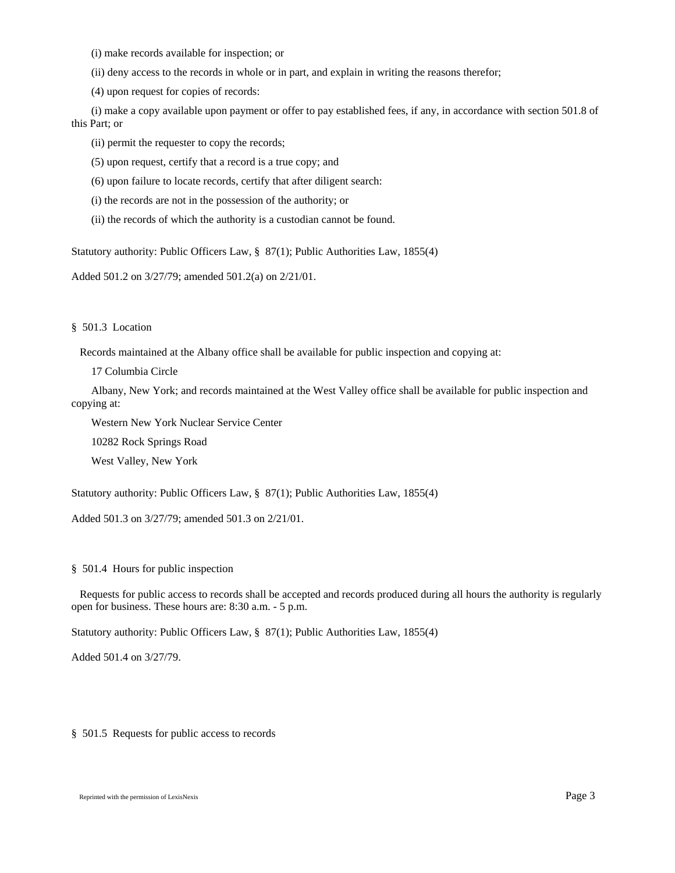(i) make records available for inspection; or

(ii) deny access to the records in whole or in part, and explain in writing the reasons therefor;

(4) upon request for copies of records:

(i) make a copy available upon payment or offer to pay established fees, if any, in accordance with section 501.8 of this Part; or

(ii) permit the requester to copy the records;

(5) upon request, certify that a record is a true copy; and

(6) upon failure to locate records, certify that after diligent search:

(i) the records are not in the possession of the authority; or

(ii) the records of which the authority is a custodian cannot be found.

Statutory authority: Public Officers Law, § 87(1); Public Authorities Law, 1855(4)

Added 501.2 on 3/27/79; amended 501.2(a) on 2/21/01.

§ 501.3 Location

Records maintained at the Albany office shall be available for public inspection and copying at:

17 Columbia Circle

Albany, New York; and records maintained at the West Valley office shall be available for public inspection and copying at:

Western New York Nuclear Service Center

10282 Rock Springs Road

West Valley, New York

Statutory authority: Public Officers Law, § 87(1); Public Authorities Law, 1855(4)

Added 501.3 on 3/27/79; amended 501.3 on 2/21/01.

§ 501.4 Hours for public inspection

 Requests for public access to records shall be accepted and records produced during all hours the authority is regularly open for business. These hours are: 8:30 a.m. - 5 p.m.

Statutory authority: Public Officers Law, § 87(1); Public Authorities Law, 1855(4)

Added 501.4 on 3/27/79.

§ 501.5 Requests for public access to records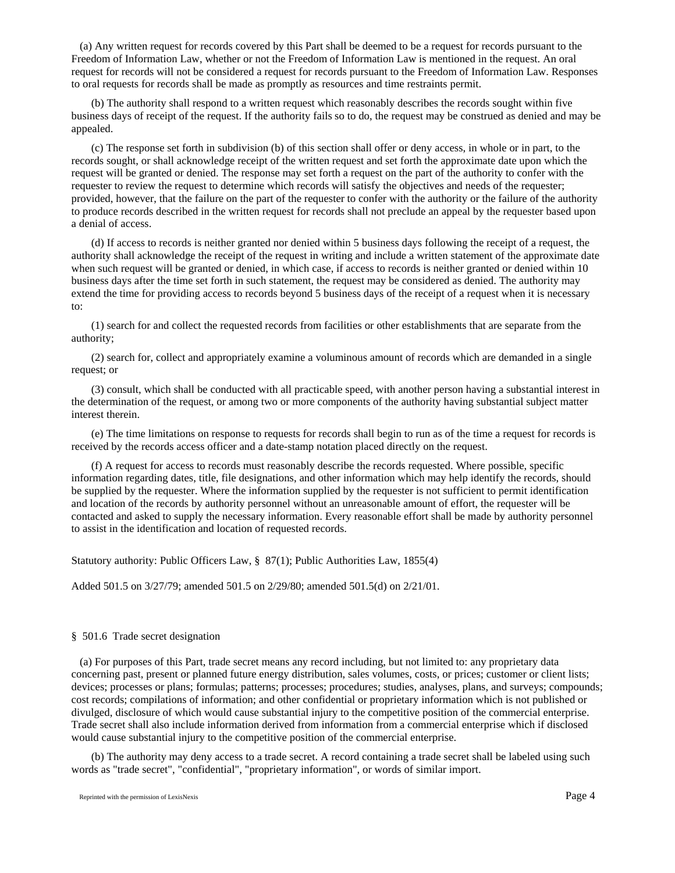(a) Any written request for records covered by this Part shall be deemed to be a request for records pursuant to the Freedom of Information Law, whether or not the Freedom of Information Law is mentioned in the request. An oral request for records will not be considered a request for records pursuant to the Freedom of Information Law. Responses to oral requests for records shall be made as promptly as resources and time restraints permit.

(b) The authority shall respond to a written request which reasonably describes the records sought within five business days of receipt of the request. If the authority fails so to do, the request may be construed as denied and may be appealed.

(c) The response set forth in subdivision (b) of this section shall offer or deny access, in whole or in part, to the records sought, or shall acknowledge receipt of the written request and set forth the approximate date upon which the request will be granted or denied. The response may set forth a request on the part of the authority to confer with the requester to review the request to determine which records will satisfy the objectives and needs of the requester; provided, however, that the failure on the part of the requester to confer with the authority or the failure of the authority to produce records described in the written request for records shall not preclude an appeal by the requester based upon a denial of access.

(d) If access to records is neither granted nor denied within 5 business days following the receipt of a request, the authority shall acknowledge the receipt of the request in writing and include a written statement of the approximate date when such request will be granted or denied, in which case, if access to records is neither granted or denied within 10 business days after the time set forth in such statement, the request may be considered as denied. The authority may extend the time for providing access to records beyond 5 business days of the receipt of a request when it is necessary to:

(1) search for and collect the requested records from facilities or other establishments that are separate from the authority;

(2) search for, collect and appropriately examine a voluminous amount of records which are demanded in a single request; or

(3) consult, which shall be conducted with all practicable speed, with another person having a substantial interest in the determination of the request, or among two or more components of the authority having substantial subject matter interest therein.

(e) The time limitations on response to requests for records shall begin to run as of the time a request for records is received by the records access officer and a date-stamp notation placed directly on the request.

(f) A request for access to records must reasonably describe the records requested. Where possible, specific information regarding dates, title, file designations, and other information which may help identify the records, should be supplied by the requester. Where the information supplied by the requester is not sufficient to permit identification and location of the records by authority personnel without an unreasonable amount of effort, the requester will be contacted and asked to supply the necessary information. Every reasonable effort shall be made by authority personnel to assist in the identification and location of requested records.

Statutory authority: Public Officers Law, § 87(1); Public Authorities Law, 1855(4)

Added 501.5 on 3/27/79; amended 501.5 on 2/29/80; amended 501.5(d) on 2/21/01.

## § 501.6 Trade secret designation

 (a) For purposes of this Part, trade secret means any record including, but not limited to: any proprietary data concerning past, present or planned future energy distribution, sales volumes, costs, or prices; customer or client lists; devices; processes or plans; formulas; patterns; processes; procedures; studies, analyses, plans, and surveys; compounds; cost records; compilations of information; and other confidential or proprietary information which is not published or divulged, disclosure of which would cause substantial injury to the competitive position of the commercial enterprise. Trade secret shall also include information derived from information from a commercial enterprise which if disclosed would cause substantial injury to the competitive position of the commercial enterprise.

(b) The authority may deny access to a trade secret. A record containing a trade secret shall be labeled using such words as "trade secret", "confidential", "proprietary information", or words of similar import.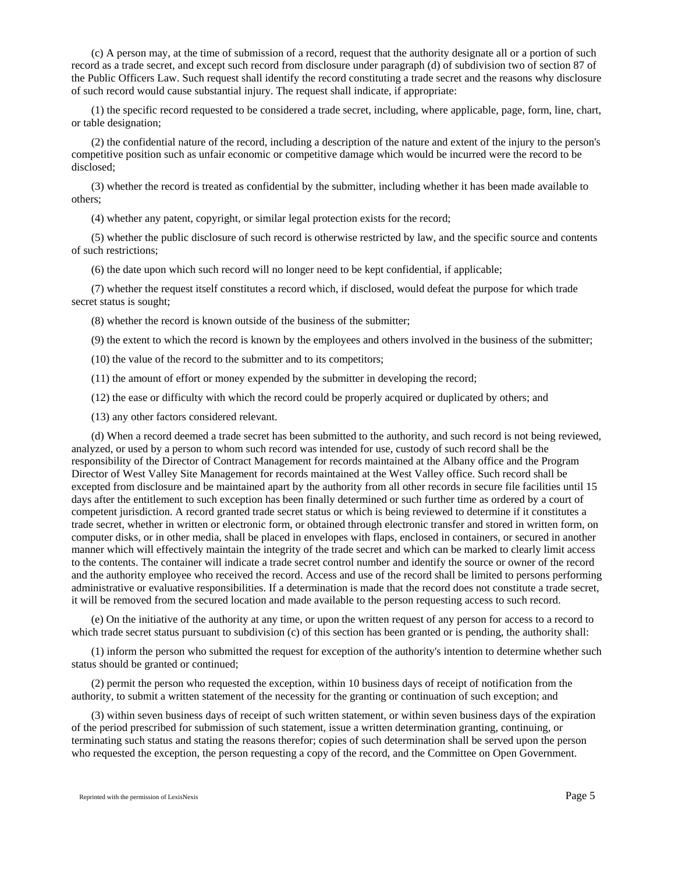(c) A person may, at the time of submission of a record, request that the authority designate all or a portion of such record as a trade secret, and except such record from disclosure under paragraph (d) of subdivision two of section 87 of the Public Officers Law. Such request shall identify the record constituting a trade secret and the reasons why disclosure of such record would cause substantial injury. The request shall indicate, if appropriate:

(1) the specific record requested to be considered a trade secret, including, where applicable, page, form, line, chart, or table designation;

(2) the confidential nature of the record, including a description of the nature and extent of the injury to the person's competitive position such as unfair economic or competitive damage which would be incurred were the record to be disclosed;

(3) whether the record is treated as confidential by the submitter, including whether it has been made available to others;

(4) whether any patent, copyright, or similar legal protection exists for the record;

(5) whether the public disclosure of such record is otherwise restricted by law, and the specific source and contents of such restrictions;

(6) the date upon which such record will no longer need to be kept confidential, if applicable;

(7) whether the request itself constitutes a record which, if disclosed, would defeat the purpose for which trade secret status is sought;

(8) whether the record is known outside of the business of the submitter;

(9) the extent to which the record is known by the employees and others involved in the business of the submitter;

(10) the value of the record to the submitter and to its competitors;

(11) the amount of effort or money expended by the submitter in developing the record;

(12) the ease or difficulty with which the record could be properly acquired or duplicated by others; and

(13) any other factors considered relevant.

(d) When a record deemed a trade secret has been submitted to the authority, and such record is not being reviewed, analyzed, or used by a person to whom such record was intended for use, custody of such record shall be the responsibility of the Director of Contract Management for records maintained at the Albany office and the Program Director of West Valley Site Management for records maintained at the West Valley office. Such record shall be excepted from disclosure and be maintained apart by the authority from all other records in secure file facilities until 15 days after the entitlement to such exception has been finally determined or such further time as ordered by a court of competent jurisdiction. A record granted trade secret status or which is being reviewed to determine if it constitutes a trade secret, whether in written or electronic form, or obtained through electronic transfer and stored in written form, on computer disks, or in other media, shall be placed in envelopes with flaps, enclosed in containers, or secured in another manner which will effectively maintain the integrity of the trade secret and which can be marked to clearly limit access to the contents. The container will indicate a trade secret control number and identify the source or owner of the record and the authority employee who received the record. Access and use of the record shall be limited to persons performing administrative or evaluative responsibilities. If a determination is made that the record does not constitute a trade secret, it will be removed from the secured location and made available to the person requesting access to such record.

(e) On the initiative of the authority at any time, or upon the written request of any person for access to a record to which trade secret status pursuant to subdivision (c) of this section has been granted or is pending, the authority shall:

(1) inform the person who submitted the request for exception of the authority's intention to determine whether such status should be granted or continued;

(2) permit the person who requested the exception, within 10 business days of receipt of notification from the authority, to submit a written statement of the necessity for the granting or continuation of such exception; and

(3) within seven business days of receipt of such written statement, or within seven business days of the expiration of the period prescribed for submission of such statement, issue a written determination granting, continuing, or terminating such status and stating the reasons therefor; copies of such determination shall be served upon the person who requested the exception, the person requesting a copy of the record, and the Committee on Open Government.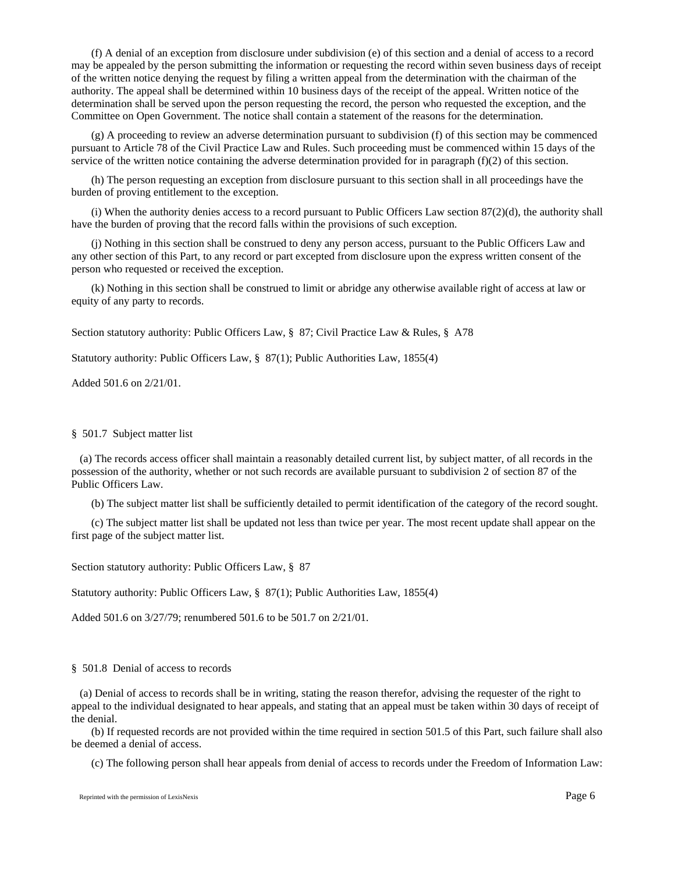(f) A denial of an exception from disclosure under subdivision (e) of this section and a denial of access to a record may be appealed by the person submitting the information or requesting the record within seven business days of receipt of the written notice denying the request by filing a written appeal from the determination with the chairman of the authority. The appeal shall be determined within 10 business days of the receipt of the appeal. Written notice of the determination shall be served upon the person requesting the record, the person who requested the exception, and the Committee on Open Government. The notice shall contain a statement of the reasons for the determination.

(g) A proceeding to review an adverse determination pursuant to subdivision (f) of this section may be commenced pursuant to Article 78 of the Civil Practice Law and Rules. Such proceeding must be commenced within 15 days of the service of the written notice containing the adverse determination provided for in paragraph (f)(2) of this section.

(h) The person requesting an exception from disclosure pursuant to this section shall in all proceedings have the burden of proving entitlement to the exception.

(i) When the authority denies access to a record pursuant to Public Officers Law section 87(2)(d), the authority shall have the burden of proving that the record falls within the provisions of such exception.

(j) Nothing in this section shall be construed to deny any person access, pursuant to the Public Officers Law and any other section of this Part, to any record or part excepted from disclosure upon the express written consent of the person who requested or received the exception.

(k) Nothing in this section shall be construed to limit or abridge any otherwise available right of access at law or equity of any party to records.

Section statutory authority: Public Officers Law, § 87; Civil Practice Law & Rules, § A78

Statutory authority: Public Officers Law, § 87(1); Public Authorities Law, 1855(4)

Added 501.6 on 2/21/01.

#### § 501.7 Subject matter list

 (a) The records access officer shall maintain a reasonably detailed current list, by subject matter, of all records in the possession of the authority, whether or not such records are available pursuant to subdivision 2 of section 87 of the Public Officers Law.

(b) The subject matter list shall be sufficiently detailed to permit identification of the category of the record sought.

(c) The subject matter list shall be updated not less than twice per year. The most recent update shall appear on the first page of the subject matter list.

Section statutory authority: Public Officers Law, § 87

Statutory authority: Public Officers Law, § 87(1); Public Authorities Law, 1855(4)

Added 501.6 on 3/27/79; renumbered 501.6 to be 501.7 on 2/21/01.

#### § 501.8 Denial of access to records

 (a) Denial of access to records shall be in writing, stating the reason therefor, advising the requester of the right to appeal to the individual designated to hear appeals, and stating that an appeal must be taken within 30 days of receipt of the denial.

(b) If requested records are not provided within the time required in section 501.5 of this Part, such failure shall also be deemed a denial of access.

(c) The following person shall hear appeals from denial of access to records under the Freedom of Information Law: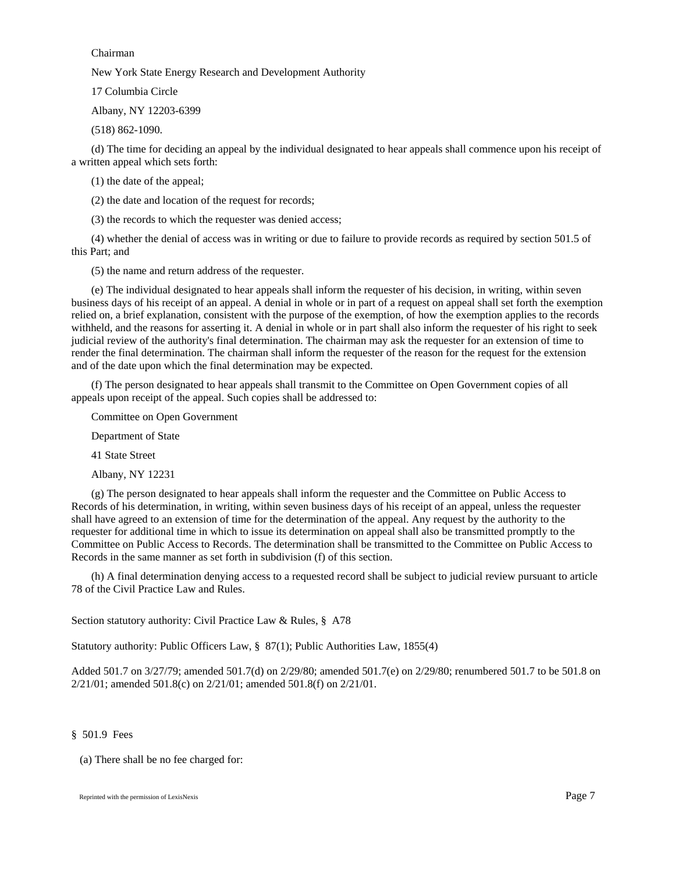## Chairman

New York State Energy Research and Development Authority

17 Columbia Circle

Albany, NY 12203-6399

(518) 862-1090.

(d) The time for deciding an appeal by the individual designated to hear appeals shall commence upon his receipt of a written appeal which sets forth:

(1) the date of the appeal;

(2) the date and location of the request for records;

(3) the records to which the requester was denied access;

(4) whether the denial of access was in writing or due to failure to provide records as required by section 501.5 of this Part; and

(5) the name and return address of the requester.

(e) The individual designated to hear appeals shall inform the requester of his decision, in writing, within seven business days of his receipt of an appeal. A denial in whole or in part of a request on appeal shall set forth the exemption relied on, a brief explanation, consistent with the purpose of the exemption, of how the exemption applies to the records withheld, and the reasons for asserting it. A denial in whole or in part shall also inform the requester of his right to seek judicial review of the authority's final determination. The chairman may ask the requester for an extension of time to render the final determination. The chairman shall inform the requester of the reason for the request for the extension and of the date upon which the final determination may be expected.

(f) The person designated to hear appeals shall transmit to the Committee on Open Government copies of all appeals upon receipt of the appeal. Such copies shall be addressed to:

Committee on Open Government

Department of State

41 State Street

Albany, NY 12231

(g) The person designated to hear appeals shall inform the requester and the Committee on Public Access to Records of his determination, in writing, within seven business days of his receipt of an appeal, unless the requester shall have agreed to an extension of time for the determination of the appeal. Any request by the authority to the requester for additional time in which to issue its determination on appeal shall also be transmitted promptly to the Committee on Public Access to Records. The determination shall be transmitted to the Committee on Public Access to Records in the same manner as set forth in subdivision (f) of this section.

(h) A final determination denying access to a requested record shall be subject to judicial review pursuant to article 78 of the Civil Practice Law and Rules.

Section statutory authority: Civil Practice Law & Rules, § A78

Statutory authority: Public Officers Law, § 87(1); Public Authorities Law, 1855(4)

Added 501.7 on 3/27/79; amended 501.7(d) on 2/29/80; amended 501.7(e) on 2/29/80; renumbered 501.7 to be 501.8 on 2/21/01; amended 501.8(c) on 2/21/01; amended 501.8(f) on 2/21/01.

## § 501.9 Fees

(a) There shall be no fee charged for: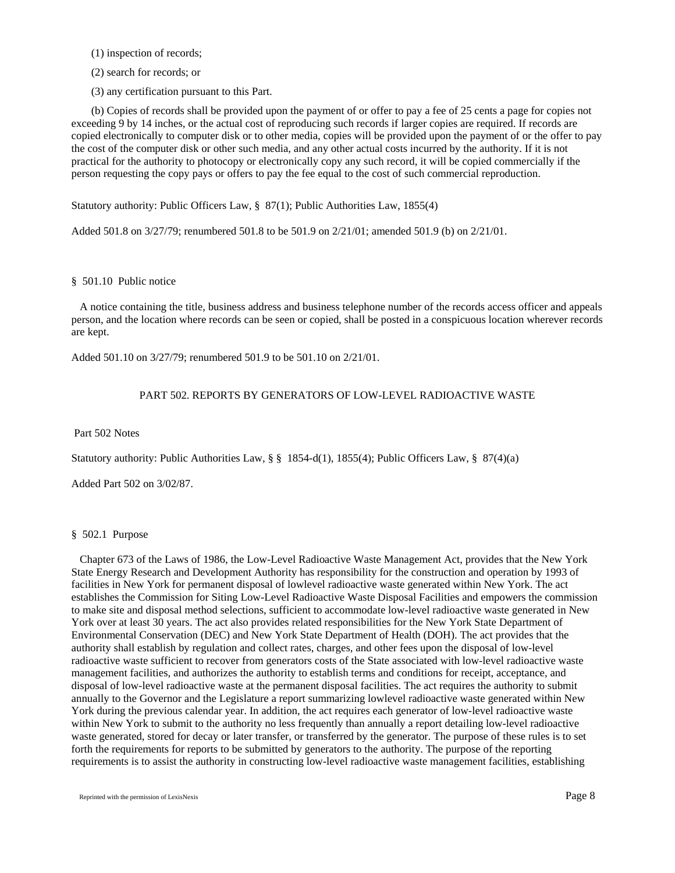(1) inspection of records;

(2) search for records; or

(3) any certification pursuant to this Part.

(b) Copies of records shall be provided upon the payment of or offer to pay a fee of 25 cents a page for copies not exceeding 9 by 14 inches, or the actual cost of reproducing such records if larger copies are required. If records are copied electronically to computer disk or to other media, copies will be provided upon the payment of or the offer to pay the cost of the computer disk or other such media, and any other actual costs incurred by the authority. If it is not practical for the authority to photocopy or electronically copy any such record, it will be copied commercially if the person requesting the copy pays or offers to pay the fee equal to the cost of such commercial reproduction.

Statutory authority: Public Officers Law, § 87(1); Public Authorities Law, 1855(4)

Added 501.8 on 3/27/79; renumbered 501.8 to be 501.9 on 2/21/01; amended 501.9 (b) on 2/21/01.

### § 501.10 Public notice

 A notice containing the title, business address and business telephone number of the records access officer and appeals person, and the location where records can be seen or copied, shall be posted in a conspicuous location wherever records are kept.

Added 501.10 on 3/27/79; renumbered 501.9 to be 501.10 on 2/21/01.

# PART 502. REPORTS BY GENERATORS OF LOW-LEVEL RADIOACTIVE WASTE

#### Part 502 Notes

Statutory authority: Public Authorities Law, § § 1854-d(1), 1855(4); Public Officers Law, § 87(4)(a)

Added Part 502 on 3/02/87.

### § 502.1 Purpose

 Chapter 673 of the Laws of 1986, the Low-Level Radioactive Waste Management Act, provides that the New York State Energy Research and Development Authority has responsibility for the construction and operation by 1993 of facilities in New York for permanent disposal of lowlevel radioactive waste generated within New York. The act establishes the Commission for Siting Low-Level Radioactive Waste Disposal Facilities and empowers the commission to make site and disposal method selections, sufficient to accommodate low-level radioactive waste generated in New York over at least 30 years. The act also provides related responsibilities for the New York State Department of Environmental Conservation (DEC) and New York State Department of Health (DOH). The act provides that the authority shall establish by regulation and collect rates, charges, and other fees upon the disposal of low-level radioactive waste sufficient to recover from generators costs of the State associated with low-level radioactive waste management facilities, and authorizes the authority to establish terms and conditions for receipt, acceptance, and disposal of low-level radioactive waste at the permanent disposal facilities. The act requires the authority to submit annually to the Governor and the Legislature a report summarizing lowlevel radioactive waste generated within New York during the previous calendar year. In addition, the act requires each generator of low-level radioactive waste within New York to submit to the authority no less frequently than annually a report detailing low-level radioactive waste generated, stored for decay or later transfer, or transferred by the generator. The purpose of these rules is to set forth the requirements for reports to be submitted by generators to the authority. The purpose of the reporting requirements is to assist the authority in constructing low-level radioactive waste management facilities, establishing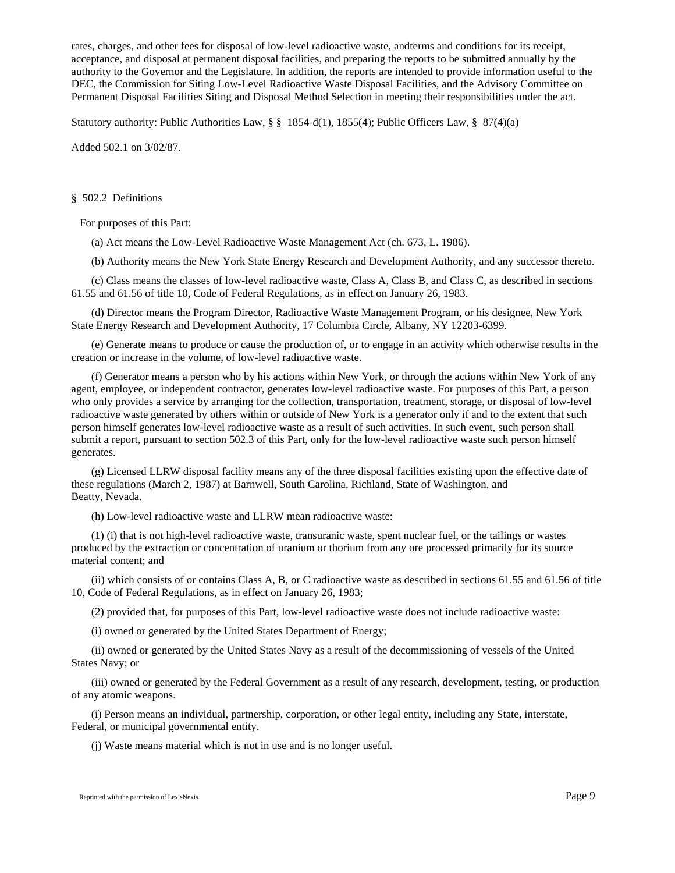rates, charges, and other fees for disposal of low-level radioactive waste, andterms and conditions for its receipt, acceptance, and disposal at permanent disposal facilities, and preparing the reports to be submitted annually by the authority to the Governor and the Legislature. In addition, the reports are intended to provide information useful to the DEC, the Commission for Siting Low-Level Radioactive Waste Disposal Facilities, and the Advisory Committee on Permanent Disposal Facilities Siting and Disposal Method Selection in meeting their responsibilities under the act.

Statutory authority: Public Authorities Law, § § 1854-d(1), 1855(4); Public Officers Law, § 87(4)(a)

Added 502.1 on 3/02/87.

## § 502.2 Definitions

For purposes of this Part:

(a) Act means the Low-Level Radioactive Waste Management Act (ch. 673, L. 1986).

(b) Authority means the New York State Energy Research and Development Authority, and any successor thereto.

(c) Class means the classes of low-level radioactive waste, Class A, Class B, and Class C, as described in sections 61.55 and 61.56 of title 10, Code of Federal Regulations, as in effect on January 26, 1983.

(d) Director means the Program Director, Radioactive Waste Management Program, or his designee, New York State Energy Research and Development Authority, 17 Columbia Circle, Albany, NY 12203-6399.

(e) Generate means to produce or cause the production of, or to engage in an activity which otherwise results in the creation or increase in the volume, of low-level radioactive waste.

(f) Generator means a person who by his actions within New York, or through the actions within New York of any agent, employee, or independent contractor, generates low-level radioactive waste. For purposes of this Part, a person who only provides a service by arranging for the collection, transportation, treatment, storage, or disposal of low-level radioactive waste generated by others within or outside of New York is a generator only if and to the extent that such person himself generates low-level radioactive waste as a result of such activities. In such event, such person shall submit a report, pursuant to section 502.3 of this Part, only for the low-level radioactive waste such person himself generates.

(g) Licensed LLRW disposal facility means any of the three disposal facilities existing upon the effective date of these regulations (March 2, 1987) at Barnwell, South Carolina, Richland, State of Washington, and Beatty, Nevada.

(h) Low-level radioactive waste and LLRW mean radioactive waste:

(1) (i) that is not high-level radioactive waste, transuranic waste, spent nuclear fuel, or the tailings or wastes produced by the extraction or concentration of uranium or thorium from any ore processed primarily for its source material content; and

(ii) which consists of or contains Class A, B, or C radioactive waste as described in sections 61.55 and 61.56 of title 10, Code of Federal Regulations, as in effect on January 26, 1983;

(2) provided that, for purposes of this Part, low-level radioactive waste does not include radioactive waste:

(i) owned or generated by the United States Department of Energy;

(ii) owned or generated by the United States Navy as a result of the decommissioning of vessels of the United States Navy; or

(iii) owned or generated by the Federal Government as a result of any research, development, testing, or production of any atomic weapons.

(i) Person means an individual, partnership, corporation, or other legal entity, including any State, interstate, Federal, or municipal governmental entity.

(j) Waste means material which is not in use and is no longer useful.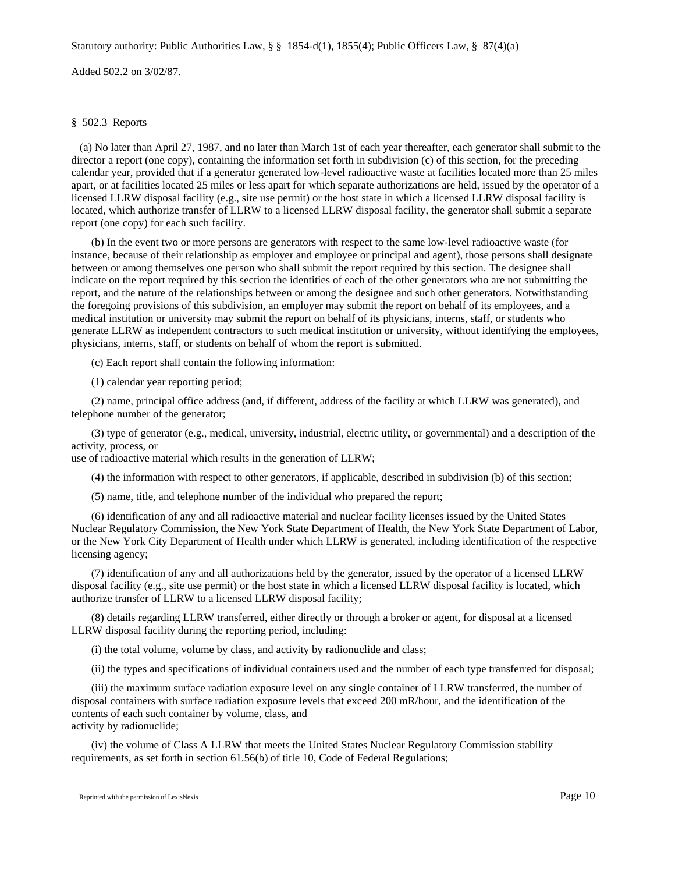## Statutory authority: Public Authorities Law, § § 1854-d(1), 1855(4); Public Officers Law, § 87(4)(a)

Added 502.2 on 3/02/87.

## § 502.3 Reports

 (a) No later than April 27, 1987, and no later than March 1st of each year thereafter, each generator shall submit to the director a report (one copy), containing the information set forth in subdivision (c) of this section, for the preceding calendar year, provided that if a generator generated low-level radioactive waste at facilities located more than 25 miles apart, or at facilities located 25 miles or less apart for which separate authorizations are held, issued by the operator of a licensed LLRW disposal facility (e.g., site use permit) or the host state in which a licensed LLRW disposal facility is located, which authorize transfer of LLRW to a licensed LLRW disposal facility, the generator shall submit a separate report (one copy) for each such facility.

(b) In the event two or more persons are generators with respect to the same low-level radioactive waste (for instance, because of their relationship as employer and employee or principal and agent), those persons shall designate between or among themselves one person who shall submit the report required by this section. The designee shall indicate on the report required by this section the identities of each of the other generators who are not submitting the report, and the nature of the relationships between or among the designee and such other generators. Notwithstanding the foregoing provisions of this subdivision, an employer may submit the report on behalf of its employees, and a medical institution or university may submit the report on behalf of its physicians, interns, staff, or students who generate LLRW as independent contractors to such medical institution or university, without identifying the employees, physicians, interns, staff, or students on behalf of whom the report is submitted.

(c) Each report shall contain the following information:

(1) calendar year reporting period;

(2) name, principal office address (and, if different, address of the facility at which LLRW was generated), and telephone number of the generator;

(3) type of generator (e.g., medical, university, industrial, electric utility, or governmental) and a description of the activity, process, or

use of radioactive material which results in the generation of LLRW;

(4) the information with respect to other generators, if applicable, described in subdivision (b) of this section;

(5) name, title, and telephone number of the individual who prepared the report;

(6) identification of any and all radioactive material and nuclear facility licenses issued by the United States Nuclear Regulatory Commission, the New York State Department of Health, the New York State Department of Labor, or the New York City Department of Health under which LLRW is generated, including identification of the respective licensing agency;

(7) identification of any and all authorizations held by the generator, issued by the operator of a licensed LLRW disposal facility (e.g., site use permit) or the host state in which a licensed LLRW disposal facility is located, which authorize transfer of LLRW to a licensed LLRW disposal facility;

(8) details regarding LLRW transferred, either directly or through a broker or agent, for disposal at a licensed LLRW disposal facility during the reporting period, including:

(i) the total volume, volume by class, and activity by radionuclide and class;

(ii) the types and specifications of individual containers used and the number of each type transferred for disposal;

(iii) the maximum surface radiation exposure level on any single container of LLRW transferred, the number of disposal containers with surface radiation exposure levels that exceed 200 mR/hour, and the identification of the contents of each such container by volume, class, and activity by radionuclide;

(iv) the volume of Class A LLRW that meets the United States Nuclear Regulatory Commission stability requirements, as set forth in section 61.56(b) of title 10, Code of Federal Regulations;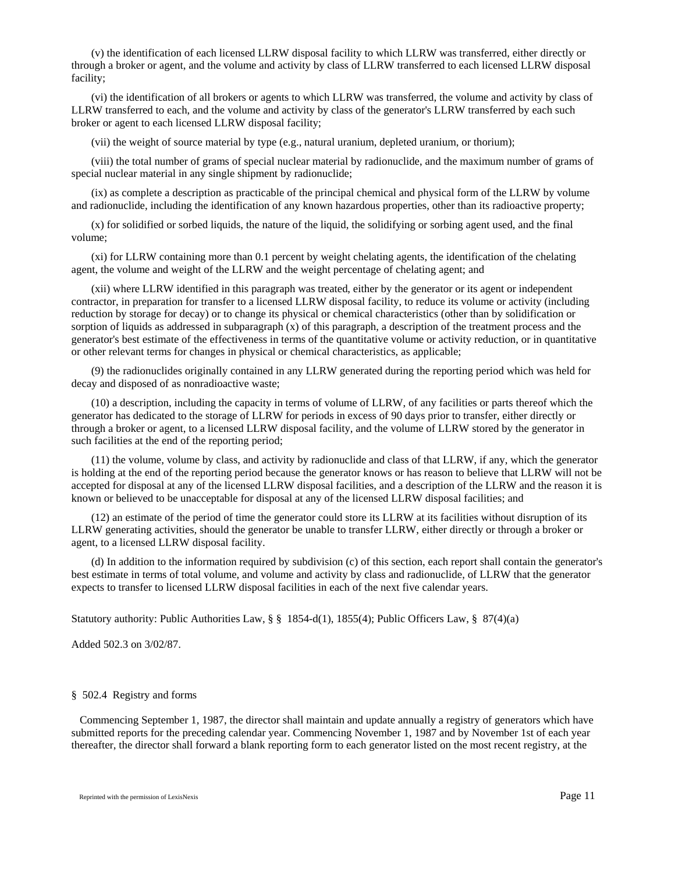(v) the identification of each licensed LLRW disposal facility to which LLRW was transferred, either directly or through a broker or agent, and the volume and activity by class of LLRW transferred to each licensed LLRW disposal facility;

(vi) the identification of all brokers or agents to which LLRW was transferred, the volume and activity by class of LLRW transferred to each, and the volume and activity by class of the generator's LLRW transferred by each such broker or agent to each licensed LLRW disposal facility;

(vii) the weight of source material by type (e.g., natural uranium, depleted uranium, or thorium);

(viii) the total number of grams of special nuclear material by radionuclide, and the maximum number of grams of special nuclear material in any single shipment by radionuclide;

(ix) as complete a description as practicable of the principal chemical and physical form of the LLRW by volume and radionuclide, including the identification of any known hazardous properties, other than its radioactive property;

(x) for solidified or sorbed liquids, the nature of the liquid, the solidifying or sorbing agent used, and the final volume;

(xi) for LLRW containing more than 0.1 percent by weight chelating agents, the identification of the chelating agent, the volume and weight of the LLRW and the weight percentage of chelating agent; and

(xii) where LLRW identified in this paragraph was treated, either by the generator or its agent or independent contractor, in preparation for transfer to a licensed LLRW disposal facility, to reduce its volume or activity (including reduction by storage for decay) or to change its physical or chemical characteristics (other than by solidification or sorption of liquids as addressed in subparagraph (x) of this paragraph, a description of the treatment process and the generator's best estimate of the effectiveness in terms of the quantitative volume or activity reduction, or in quantitative or other relevant terms for changes in physical or chemical characteristics, as applicable;

(9) the radionuclides originally contained in any LLRW generated during the reporting period which was held for decay and disposed of as nonradioactive waste;

(10) a description, including the capacity in terms of volume of LLRW, of any facilities or parts thereof which the generator has dedicated to the storage of LLRW for periods in excess of 90 days prior to transfer, either directly or through a broker or agent, to a licensed LLRW disposal facility, and the volume of LLRW stored by the generator in such facilities at the end of the reporting period;

(11) the volume, volume by class, and activity by radionuclide and class of that LLRW, if any, which the generator is holding at the end of the reporting period because the generator knows or has reason to believe that LLRW will not be accepted for disposal at any of the licensed LLRW disposal facilities, and a description of the LLRW and the reason it is known or believed to be unacceptable for disposal at any of the licensed LLRW disposal facilities; and

(12) an estimate of the period of time the generator could store its LLRW at its facilities without disruption of its LLRW generating activities, should the generator be unable to transfer LLRW, either directly or through a broker or agent, to a licensed LLRW disposal facility.

(d) In addition to the information required by subdivision (c) of this section, each report shall contain the generator's best estimate in terms of total volume, and volume and activity by class and radionuclide, of LLRW that the generator expects to transfer to licensed LLRW disposal facilities in each of the next five calendar years.

Statutory authority: Public Authorities Law, § § 1854-d(1), 1855(4); Public Officers Law, § 87(4)(a)

Added 502.3 on 3/02/87.

### § 502.4 Registry and forms

 Commencing September 1, 1987, the director shall maintain and update annually a registry of generators which have submitted reports for the preceding calendar year. Commencing November 1, 1987 and by November 1st of each year thereafter, the director shall forward a blank reporting form to each generator listed on the most recent registry, at the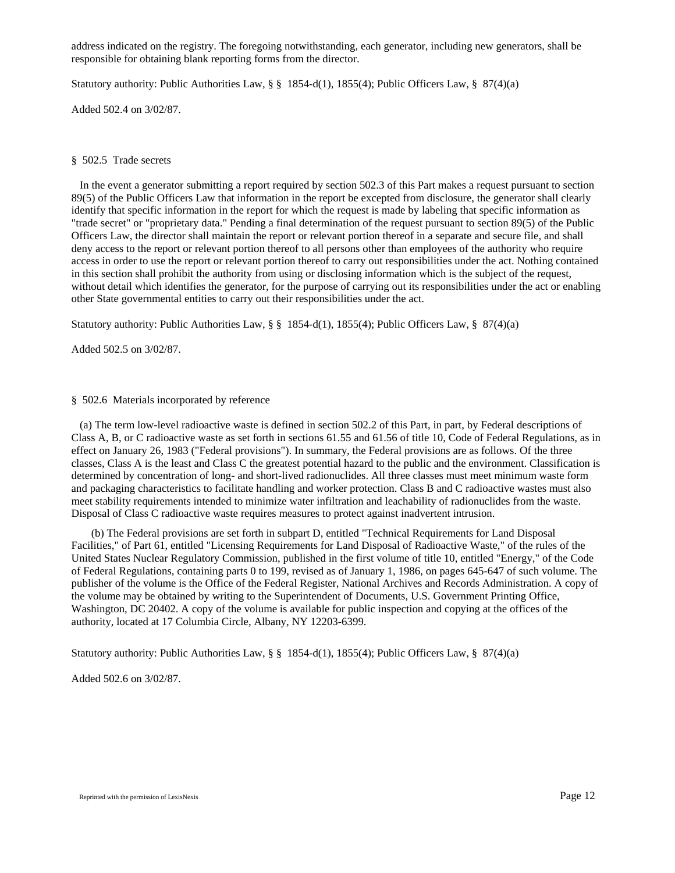address indicated on the registry. The foregoing notwithstanding, each generator, including new generators, shall be responsible for obtaining blank reporting forms from the director.

Statutory authority: Public Authorities Law, § § 1854-d(1), 1855(4); Public Officers Law, § 87(4)(a)

Added 502.4 on 3/02/87.

## § 502.5 Trade secrets

 In the event a generator submitting a report required by section 502.3 of this Part makes a request pursuant to section 89(5) of the Public Officers Law that information in the report be excepted from disclosure, the generator shall clearly identify that specific information in the report for which the request is made by labeling that specific information as "trade secret" or "proprietary data." Pending a final determination of the request pursuant to section 89(5) of the Public Officers Law, the director shall maintain the report or relevant portion thereof in a separate and secure file, and shall deny access to the report or relevant portion thereof to all persons other than employees of the authority who require access in order to use the report or relevant portion thereof to carry out responsibilities under the act. Nothing contained in this section shall prohibit the authority from using or disclosing information which is the subject of the request, without detail which identifies the generator, for the purpose of carrying out its responsibilities under the act or enabling other State governmental entities to carry out their responsibilities under the act.

Statutory authority: Public Authorities Law, § § 1854-d(1), 1855(4); Public Officers Law, § 87(4)(a)

Added 502.5 on 3/02/87.

## § 502.6 Materials incorporated by reference

 (a) The term low-level radioactive waste is defined in section 502.2 of this Part, in part, by Federal descriptions of Class A, B, or C radioactive waste as set forth in sections 61.55 and 61.56 of title 10, Code of Federal Regulations, as in effect on January 26, 1983 ("Federal provisions"). In summary, the Federal provisions are as follows. Of the three classes, Class A is the least and Class C the greatest potential hazard to the public and the environment. Classification is determined by concentration of long- and short-lived radionuclides. All three classes must meet minimum waste form and packaging characteristics to facilitate handling and worker protection. Class B and C radioactive wastes must also meet stability requirements intended to minimize water infiltration and leachability of radionuclides from the waste. Disposal of Class C radioactive waste requires measures to protect against inadvertent intrusion.

(b) The Federal provisions are set forth in subpart D, entitled "Technical Requirements for Land Disposal Facilities," of Part 61, entitled "Licensing Requirements for Land Disposal of Radioactive Waste," of the rules of the United States Nuclear Regulatory Commission, published in the first volume of title 10, entitled "Energy," of the Code of Federal Regulations, containing parts 0 to 199, revised as of January 1, 1986, on pages 645-647 of such volume. The publisher of the volume is the Office of the Federal Register, National Archives and Records Administration. A copy of the volume may be obtained by writing to the Superintendent of Documents, U.S. Government Printing Office, Washington, DC 20402. A copy of the volume is available for public inspection and copying at the offices of the authority, located at 17 Columbia Circle, Albany, NY 12203-6399.

Statutory authority: Public Authorities Law, § § 1854-d(1), 1855(4); Public Officers Law, § 87(4)(a)

Added 502.6 on 3/02/87.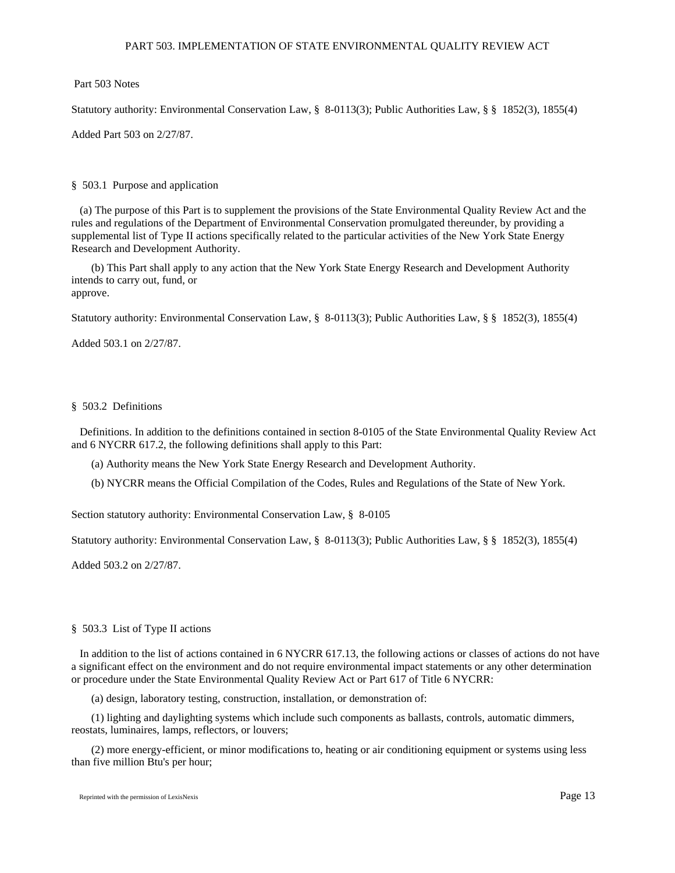## PART 503. IMPLEMENTATION OF STATE ENVIRONMENTAL QUALITY REVIEW ACT

Part 503 Notes

Statutory authority: Environmental Conservation Law, § 8-0113(3); Public Authorities Law, § § 1852(3), 1855(4)

Added Part 503 on 2/27/87.

# § 503.1 Purpose and application

 (a) The purpose of this Part is to supplement the provisions of the State Environmental Quality Review Act and the rules and regulations of the Department of Environmental Conservation promulgated thereunder, by providing a supplemental list of Type II actions specifically related to the particular activities of the New York State Energy Research and Development Authority.

(b) This Part shall apply to any action that the New York State Energy Research and Development Authority intends to carry out, fund, or approve.

Statutory authority: Environmental Conservation Law, § 8-0113(3); Public Authorities Law, § § 1852(3), 1855(4)

Added 503.1 on 2/27/87.

# § 503.2 Definitions

 Definitions. In addition to the definitions contained in section 8-0105 of the State Environmental Quality Review Act and 6 NYCRR 617.2, the following definitions shall apply to this Part:

- (a) Authority means the New York State Energy Research and Development Authority.
- (b) NYCRR means the Official Compilation of the Codes, Rules and Regulations of the State of New York.

Section statutory authority: Environmental Conservation Law, § 8-0105

Statutory authority: Environmental Conservation Law, § 8-0113(3); Public Authorities Law, § § 1852(3), 1855(4)

Added 503.2 on 2/27/87.

## § 503.3 List of Type II actions

 In addition to the list of actions contained in 6 NYCRR 617.13, the following actions or classes of actions do not have a significant effect on the environment and do not require environmental impact statements or any other determination or procedure under the State Environmental Quality Review Act or Part 617 of Title 6 NYCRR:

(a) design, laboratory testing, construction, installation, or demonstration of:

(1) lighting and daylighting systems which include such components as ballasts, controls, automatic dimmers, reostats, luminaires, lamps, reflectors, or louvers;

(2) more energy-efficient, or minor modifications to, heating or air conditioning equipment or systems using less than five million Btu's per hour;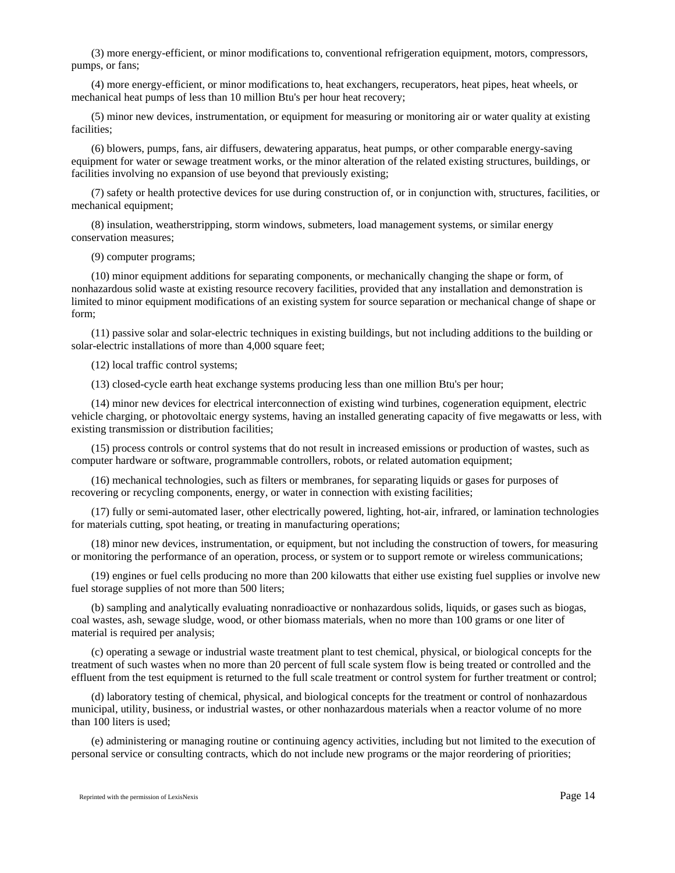(3) more energy-efficient, or minor modifications to, conventional refrigeration equipment, motors, compressors, pumps, or fans;

(4) more energy-efficient, or minor modifications to, heat exchangers, recuperators, heat pipes, heat wheels, or mechanical heat pumps of less than 10 million Btu's per hour heat recovery;

(5) minor new devices, instrumentation, or equipment for measuring or monitoring air or water quality at existing facilities;

(6) blowers, pumps, fans, air diffusers, dewatering apparatus, heat pumps, or other comparable energy-saving equipment for water or sewage treatment works, or the minor alteration of the related existing structures, buildings, or facilities involving no expansion of use beyond that previously existing;

(7) safety or health protective devices for use during construction of, or in conjunction with, structures, facilities, or mechanical equipment;

(8) insulation, weatherstripping, storm windows, submeters, load management systems, or similar energy conservation measures;

(9) computer programs;

(10) minor equipment additions for separating components, or mechanically changing the shape or form, of nonhazardous solid waste at existing resource recovery facilities, provided that any installation and demonstration is limited to minor equipment modifications of an existing system for source separation or mechanical change of shape or form;

(11) passive solar and solar-electric techniques in existing buildings, but not including additions to the building or solar-electric installations of more than 4,000 square feet;

(12) local traffic control systems;

(13) closed-cycle earth heat exchange systems producing less than one million Btu's per hour;

(14) minor new devices for electrical interconnection of existing wind turbines, cogeneration equipment, electric vehicle charging, or photovoltaic energy systems, having an installed generating capacity of five megawatts or less, with existing transmission or distribution facilities;

(15) process controls or control systems that do not result in increased emissions or production of wastes, such as computer hardware or software, programmable controllers, robots, or related automation equipment;

(16) mechanical technologies, such as filters or membranes, for separating liquids or gases for purposes of recovering or recycling components, energy, or water in connection with existing facilities;

(17) fully or semi-automated laser, other electrically powered, lighting, hot-air, infrared, or lamination technologies for materials cutting, spot heating, or treating in manufacturing operations;

(18) minor new devices, instrumentation, or equipment, but not including the construction of towers, for measuring or monitoring the performance of an operation, process, or system or to support remote or wireless communications;

(19) engines or fuel cells producing no more than 200 kilowatts that either use existing fuel supplies or involve new fuel storage supplies of not more than 500 liters;

(b) sampling and analytically evaluating nonradioactive or nonhazardous solids, liquids, or gases such as biogas, coal wastes, ash, sewage sludge, wood, or other biomass materials, when no more than 100 grams or one liter of material is required per analysis;

(c) operating a sewage or industrial waste treatment plant to test chemical, physical, or biological concepts for the treatment of such wastes when no more than 20 percent of full scale system flow is being treated or controlled and the effluent from the test equipment is returned to the full scale treatment or control system for further treatment or control;

(d) laboratory testing of chemical, physical, and biological concepts for the treatment or control of nonhazardous municipal, utility, business, or industrial wastes, or other nonhazardous materials when a reactor volume of no more than 100 liters is used;

(e) administering or managing routine or continuing agency activities, including but not limited to the execution of personal service or consulting contracts, which do not include new programs or the major reordering of priorities;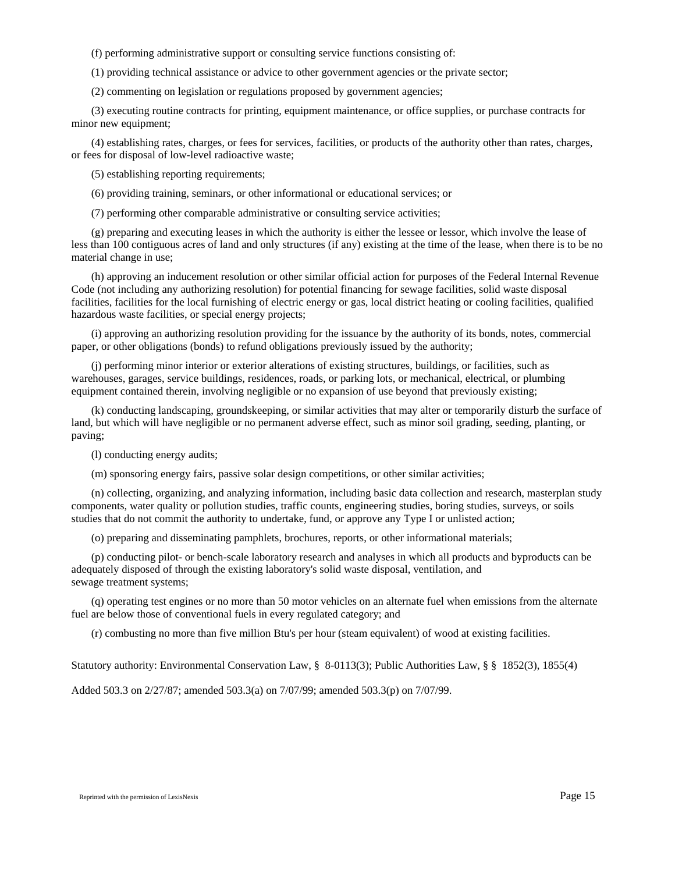(f) performing administrative support or consulting service functions consisting of:

(1) providing technical assistance or advice to other government agencies or the private sector;

(2) commenting on legislation or regulations proposed by government agencies;

(3) executing routine contracts for printing, equipment maintenance, or office supplies, or purchase contracts for minor new equipment;

(4) establishing rates, charges, or fees for services, facilities, or products of the authority other than rates, charges, or fees for disposal of low-level radioactive waste;

(5) establishing reporting requirements;

(6) providing training, seminars, or other informational or educational services; or

(7) performing other comparable administrative or consulting service activities;

(g) preparing and executing leases in which the authority is either the lessee or lessor, which involve the lease of less than 100 contiguous acres of land and only structures (if any) existing at the time of the lease, when there is to be no material change in use;

(h) approving an inducement resolution or other similar official action for purposes of the Federal Internal Revenue Code (not including any authorizing resolution) for potential financing for sewage facilities, solid waste disposal facilities, facilities for the local furnishing of electric energy or gas, local district heating or cooling facilities, qualified hazardous waste facilities, or special energy projects;

(i) approving an authorizing resolution providing for the issuance by the authority of its bonds, notes, commercial paper, or other obligations (bonds) to refund obligations previously issued by the authority;

(j) performing minor interior or exterior alterations of existing structures, buildings, or facilities, such as warehouses, garages, service buildings, residences, roads, or parking lots, or mechanical, electrical, or plumbing equipment contained therein, involving negligible or no expansion of use beyond that previously existing;

(k) conducting landscaping, groundskeeping, or similar activities that may alter or temporarily disturb the surface of land, but which will have negligible or no permanent adverse effect, such as minor soil grading, seeding, planting, or paving;

(l) conducting energy audits;

(m) sponsoring energy fairs, passive solar design competitions, or other similar activities;

(n) collecting, organizing, and analyzing information, including basic data collection and research, masterplan study components, water quality or pollution studies, traffic counts, engineering studies, boring studies, surveys, or soils studies that do not commit the authority to undertake, fund, or approve any Type I or unlisted action;

(o) preparing and disseminating pamphlets, brochures, reports, or other informational materials;

(p) conducting pilot- or bench-scale laboratory research and analyses in which all products and byproducts can be adequately disposed of through the existing laboratory's solid waste disposal, ventilation, and sewage treatment systems;

(q) operating test engines or no more than 50 motor vehicles on an alternate fuel when emissions from the alternate fuel are below those of conventional fuels in every regulated category; and

(r) combusting no more than five million Btu's per hour (steam equivalent) of wood at existing facilities.

Statutory authority: Environmental Conservation Law, § 8-0113(3); Public Authorities Law, § § 1852(3), 1855(4)

Added 503.3 on 2/27/87; amended 503.3(a) on 7/07/99; amended 503.3(p) on 7/07/99.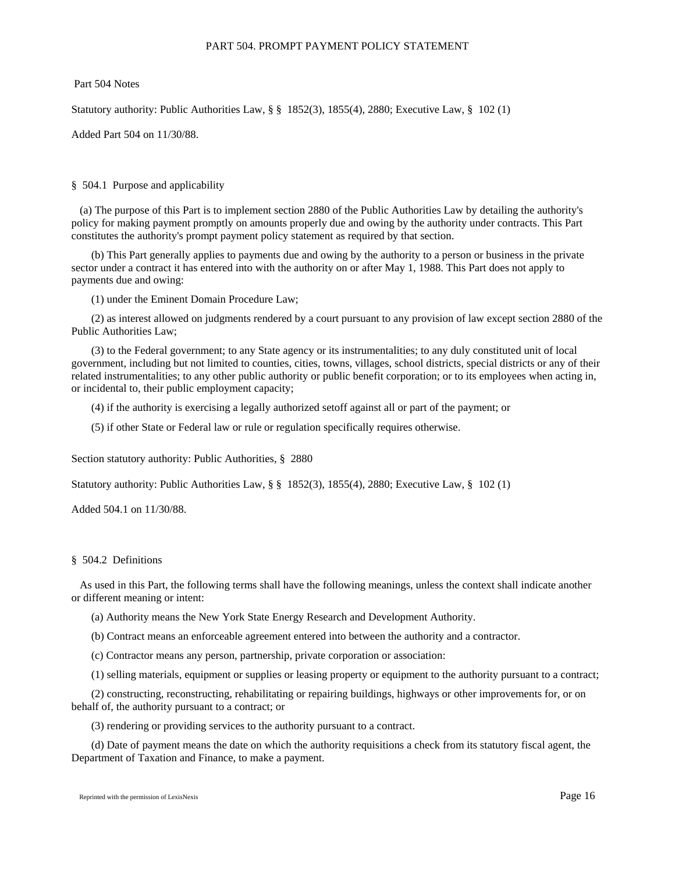## PART 504. PROMPT PAYMENT POLICY STATEMENT

Part 504 Notes

Statutory authority: Public Authorities Law, § § 1852(3), 1855(4), 2880; Executive Law, § 102 (1)

Added Part 504 on 11/30/88.

## § 504.1 Purpose and applicability

 (a) The purpose of this Part is to implement section 2880 of the Public Authorities Law by detailing the authority's policy for making payment promptly on amounts properly due and owing by the authority under contracts. This Part constitutes the authority's prompt payment policy statement as required by that section.

(b) This Part generally applies to payments due and owing by the authority to a person or business in the private sector under a contract it has entered into with the authority on or after May 1, 1988. This Part does not apply to payments due and owing:

(1) under the Eminent Domain Procedure Law;

(2) as interest allowed on judgments rendered by a court pursuant to any provision of law except section 2880 of the Public Authorities Law;

(3) to the Federal government; to any State agency or its instrumentalities; to any duly constituted unit of local government, including but not limited to counties, cities, towns, villages, school districts, special districts or any of their related instrumentalities; to any other public authority or public benefit corporation; or to its employees when acting in, or incidental to, their public employment capacity;

(4) if the authority is exercising a legally authorized setoff against all or part of the payment; or

(5) if other State or Federal law or rule or regulation specifically requires otherwise.

Section statutory authority: Public Authorities, § 2880

Statutory authority: Public Authorities Law, § § 1852(3), 1855(4), 2880; Executive Law, § 102 (1)

Added 504.1 on 11/30/88.

### § 504.2 Definitions

 As used in this Part, the following terms shall have the following meanings, unless the context shall indicate another or different meaning or intent:

- (a) Authority means the New York State Energy Research and Development Authority.
- (b) Contract means an enforceable agreement entered into between the authority and a contractor.
- (c) Contractor means any person, partnership, private corporation or association:
- (1) selling materials, equipment or supplies or leasing property or equipment to the authority pursuant to a contract;

(2) constructing, reconstructing, rehabilitating or repairing buildings, highways or other improvements for, or on behalf of, the authority pursuant to a contract; or

(3) rendering or providing services to the authority pursuant to a contract.

(d) Date of payment means the date on which the authority requisitions a check from its statutory fiscal agent, the Department of Taxation and Finance, to make a payment.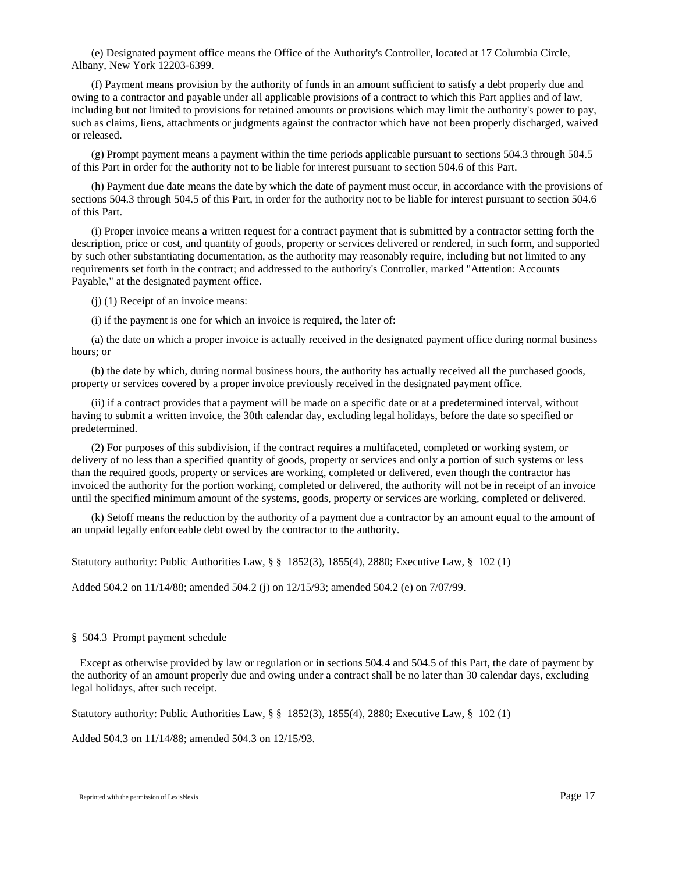(e) Designated payment office means the Office of the Authority's Controller, located at 17 Columbia Circle, Albany, New York 12203-6399.

(f) Payment means provision by the authority of funds in an amount sufficient to satisfy a debt properly due and owing to a contractor and payable under all applicable provisions of a contract to which this Part applies and of law, including but not limited to provisions for retained amounts or provisions which may limit the authority's power to pay, such as claims, liens, attachments or judgments against the contractor which have not been properly discharged, waived or released.

(g) Prompt payment means a payment within the time periods applicable pursuant to sections 504.3 through 504.5 of this Part in order for the authority not to be liable for interest pursuant to section 504.6 of this Part.

(h) Payment due date means the date by which the date of payment must occur, in accordance with the provisions of sections 504.3 through 504.5 of this Part, in order for the authority not to be liable for interest pursuant to section 504.6 of this Part.

(i) Proper invoice means a written request for a contract payment that is submitted by a contractor setting forth the description, price or cost, and quantity of goods, property or services delivered or rendered, in such form, and supported by such other substantiating documentation, as the authority may reasonably require, including but not limited to any requirements set forth in the contract; and addressed to the authority's Controller, marked "Attention: Accounts Payable," at the designated payment office.

(j) (1) Receipt of an invoice means:

(i) if the payment is one for which an invoice is required, the later of:

(a) the date on which a proper invoice is actually received in the designated payment office during normal business hours; or

(b) the date by which, during normal business hours, the authority has actually received all the purchased goods, property or services covered by a proper invoice previously received in the designated payment office.

(ii) if a contract provides that a payment will be made on a specific date or at a predetermined interval, without having to submit a written invoice, the 30th calendar day, excluding legal holidays, before the date so specified or predetermined.

(2) For purposes of this subdivision, if the contract requires a multifaceted, completed or working system, or delivery of no less than a specified quantity of goods, property or services and only a portion of such systems or less than the required goods, property or services are working, completed or delivered, even though the contractor has invoiced the authority for the portion working, completed or delivered, the authority will not be in receipt of an invoice until the specified minimum amount of the systems, goods, property or services are working, completed or delivered.

(k) Setoff means the reduction by the authority of a payment due a contractor by an amount equal to the amount of an unpaid legally enforceable debt owed by the contractor to the authority.

Statutory authority: Public Authorities Law, § § 1852(3), 1855(4), 2880; Executive Law, § 102 (1)

Added 504.2 on 11/14/88; amended 504.2 (j) on 12/15/93; amended 504.2 (e) on 7/07/99.

#### § 504.3 Prompt payment schedule

 Except as otherwise provided by law or regulation or in sections 504.4 and 504.5 of this Part, the date of payment by the authority of an amount properly due and owing under a contract shall be no later than 30 calendar days, excluding legal holidays, after such receipt.

Statutory authority: Public Authorities Law, § § 1852(3), 1855(4), 2880; Executive Law, § 102 (1)

Added 504.3 on 11/14/88; amended 504.3 on 12/15/93.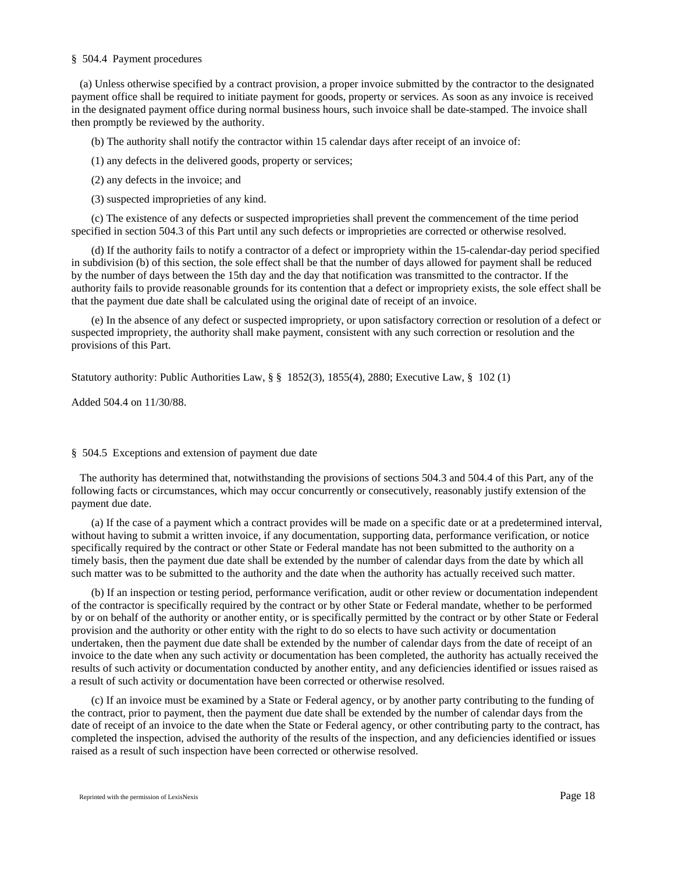### § 504.4 Payment procedures

(a) Unless otherwise specified by a contract provision, a proper invoice submitted by the contractor to the designated payment office shall be required to initiate payment for goods, property or services. As soon as any invoice is received in the designated payment office during normal business hours, such invoice shall be date-stamped. The invoice shall then promptly be reviewed by the authority.

(b) The authority shall notify the contractor within 15 calendar days after receipt of an invoice of:

(1) any defects in the delivered goods, property or services;

(2) any defects in the invoice; and

(3) suspected improprieties of any kind.

(c) The existence of any defects or suspected improprieties shall prevent the commencement of the time period specified in section 504.3 of this Part until any such defects or improprieties are corrected or otherwise resolved.

(d) If the authority fails to notify a contractor of a defect or impropriety within the 15-calendar-day period specified in subdivision (b) of this section, the sole effect shall be that the number of days allowed for payment shall be reduced by the number of days between the 15th day and the day that notification was transmitted to the contractor. If the authority fails to provide reasonable grounds for its contention that a defect or impropriety exists, the sole effect shall be that the payment due date shall be calculated using the original date of receipt of an invoice.

(e) In the absence of any defect or suspected impropriety, or upon satisfactory correction or resolution of a defect or suspected impropriety, the authority shall make payment, consistent with any such correction or resolution and the provisions of this Part.

Statutory authority: Public Authorities Law,  $\S$   $\S$  1852(3), 1855(4), 2880; Executive Law,  $\S$  102 (1)

Added 504.4 on 11/30/88.

### § 504.5 Exceptions and extension of payment due date

 The authority has determined that, notwithstanding the provisions of sections 504.3 and 504.4 of this Part, any of the following facts or circumstances, which may occur concurrently or consecutively, reasonably justify extension of the payment due date.

(a) If the case of a payment which a contract provides will be made on a specific date or at a predetermined interval, without having to submit a written invoice, if any documentation, supporting data, performance verification, or notice specifically required by the contract or other State or Federal mandate has not been submitted to the authority on a timely basis, then the payment due date shall be extended by the number of calendar days from the date by which all such matter was to be submitted to the authority and the date when the authority has actually received such matter.

(b) If an inspection or testing period, performance verification, audit or other review or documentation independent of the contractor is specifically required by the contract or by other State or Federal mandate, whether to be performed by or on behalf of the authority or another entity, or is specifically permitted by the contract or by other State or Federal provision and the authority or other entity with the right to do so elects to have such activity or documentation undertaken, then the payment due date shall be extended by the number of calendar days from the date of receipt of an invoice to the date when any such activity or documentation has been completed, the authority has actually received the results of such activity or documentation conducted by another entity, and any deficiencies identified or issues raised as a result of such activity or documentation have been corrected or otherwise resolved.

(c) If an invoice must be examined by a State or Federal agency, or by another party contributing to the funding of the contract, prior to payment, then the payment due date shall be extended by the number of calendar days from the date of receipt of an invoice to the date when the State or Federal agency, or other contributing party to the contract, has completed the inspection, advised the authority of the results of the inspection, and any deficiencies identified or issues raised as a result of such inspection have been corrected or otherwise resolved.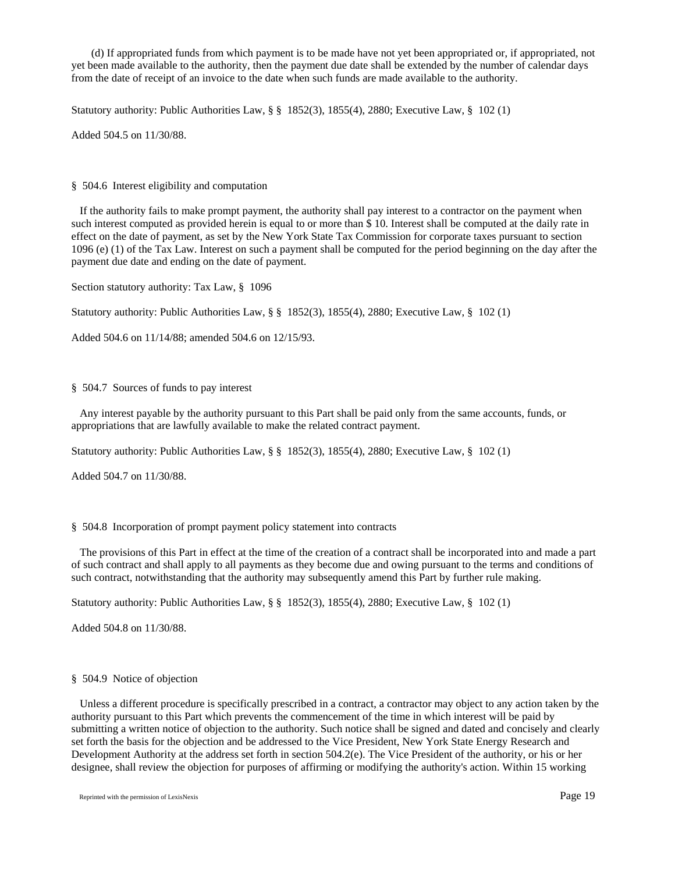(d) If appropriated funds from which payment is to be made have not yet been appropriated or, if appropriated, not yet been made available to the authority, then the payment due date shall be extended by the number of calendar days from the date of receipt of an invoice to the date when such funds are made available to the authority.

Statutory authority: Public Authorities Law, § § 1852(3), 1855(4), 2880; Executive Law, § 102 (1)

Added 504.5 on 11/30/88.

§ 504.6 Interest eligibility and computation

 If the authority fails to make prompt payment, the authority shall pay interest to a contractor on the payment when such interest computed as provided herein is equal to or more than \$ 10. Interest shall be computed at the daily rate in effect on the date of payment, as set by the New York State Tax Commission for corporate taxes pursuant to section 1096 (e) (1) of the Tax Law. Interest on such a payment shall be computed for the period beginning on the day after the payment due date and ending on the date of payment.

Section statutory authority: Tax Law, § 1096

Statutory authority: Public Authorities Law, § § 1852(3), 1855(4), 2880; Executive Law, § 102 (1)

Added 504.6 on 11/14/88; amended 504.6 on 12/15/93.

## § 504.7 Sources of funds to pay interest

 Any interest payable by the authority pursuant to this Part shall be paid only from the same accounts, funds, or appropriations that are lawfully available to make the related contract payment.

Statutory authority: Public Authorities Law, § § 1852(3), 1855(4), 2880; Executive Law, § 102 (1)

Added 504.7 on 11/30/88.

## § 504.8 Incorporation of prompt payment policy statement into contracts

 The provisions of this Part in effect at the time of the creation of a contract shall be incorporated into and made a part of such contract and shall apply to all payments as they become due and owing pursuant to the terms and conditions of such contract, notwithstanding that the authority may subsequently amend this Part by further rule making.

Statutory authority: Public Authorities Law, § § 1852(3), 1855(4), 2880; Executive Law, § 102 (1)

Added 504.8 on 11/30/88.

### § 504.9 Notice of objection

 Unless a different procedure is specifically prescribed in a contract, a contractor may object to any action taken by the authority pursuant to this Part which prevents the commencement of the time in which interest will be paid by submitting a written notice of objection to the authority. Such notice shall be signed and dated and concisely and clearly set forth the basis for the objection and be addressed to the Vice President, New York State Energy Research and Development Authority at the address set forth in section 504.2(e). The Vice President of the authority, or his or her designee, shall review the objection for purposes of affirming or modifying the authority's action. Within 15 working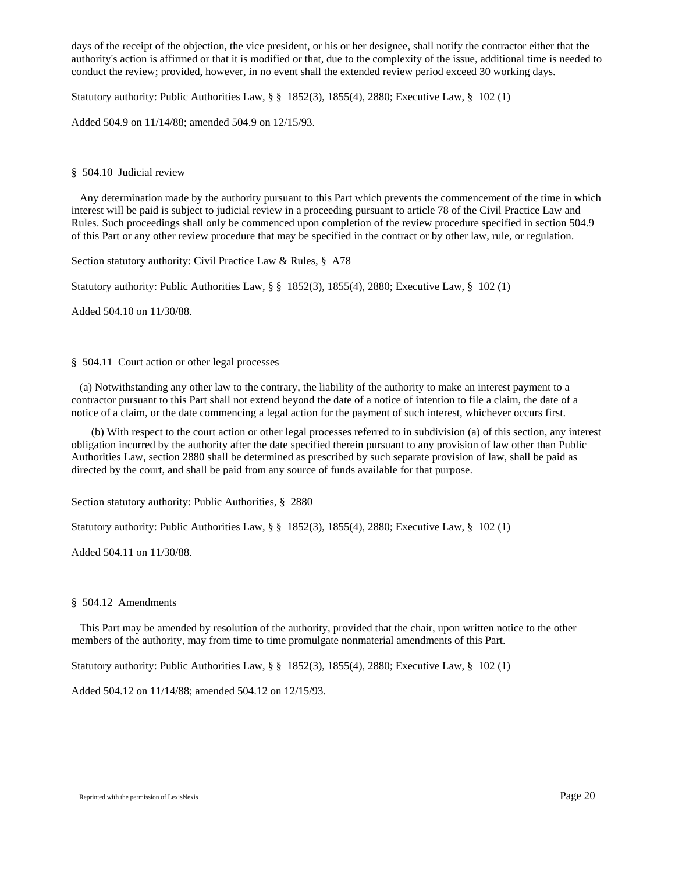days of the receipt of the objection, the vice president, or his or her designee, shall notify the contractor either that the authority's action is affirmed or that it is modified or that, due to the complexity of the issue, additional time is needed to conduct the review; provided, however, in no event shall the extended review period exceed 30 working days.

Statutory authority: Public Authorities Law, § § 1852(3), 1855(4), 2880; Executive Law, § 102 (1)

Added 504.9 on 11/14/88; amended 504.9 on 12/15/93.

### § 504.10 Judicial review

 Any determination made by the authority pursuant to this Part which prevents the commencement of the time in which interest will be paid is subject to judicial review in a proceeding pursuant to article 78 of the Civil Practice Law and Rules. Such proceedings shall only be commenced upon completion of the review procedure specified in section 504.9 of this Part or any other review procedure that may be specified in the contract or by other law, rule, or regulation.

Section statutory authority: Civil Practice Law & Rules, § A78

Statutory authority: Public Authorities Law, § § 1852(3), 1855(4), 2880; Executive Law, § 102 (1)

Added 504.10 on 11/30/88.

## § 504.11 Court action or other legal processes

 (a) Notwithstanding any other law to the contrary, the liability of the authority to make an interest payment to a contractor pursuant to this Part shall not extend beyond the date of a notice of intention to file a claim, the date of a notice of a claim, or the date commencing a legal action for the payment of such interest, whichever occurs first.

(b) With respect to the court action or other legal processes referred to in subdivision (a) of this section, any interest obligation incurred by the authority after the date specified therein pursuant to any provision of law other than Public Authorities Law, section 2880 shall be determined as prescribed by such separate provision of law, shall be paid as directed by the court, and shall be paid from any source of funds available for that purpose.

Section statutory authority: Public Authorities, § 2880

Statutory authority: Public Authorities Law, § § 1852(3), 1855(4), 2880; Executive Law, § 102 (1)

Added 504.11 on 11/30/88.

### § 504.12 Amendments

 This Part may be amended by resolution of the authority, provided that the chair, upon written notice to the other members of the authority, may from time to time promulgate nonmaterial amendments of this Part.

Statutory authority: Public Authorities Law, § § 1852(3), 1855(4), 2880; Executive Law, § 102 (1)

Added 504.12 on 11/14/88; amended 504.12 on 12/15/93.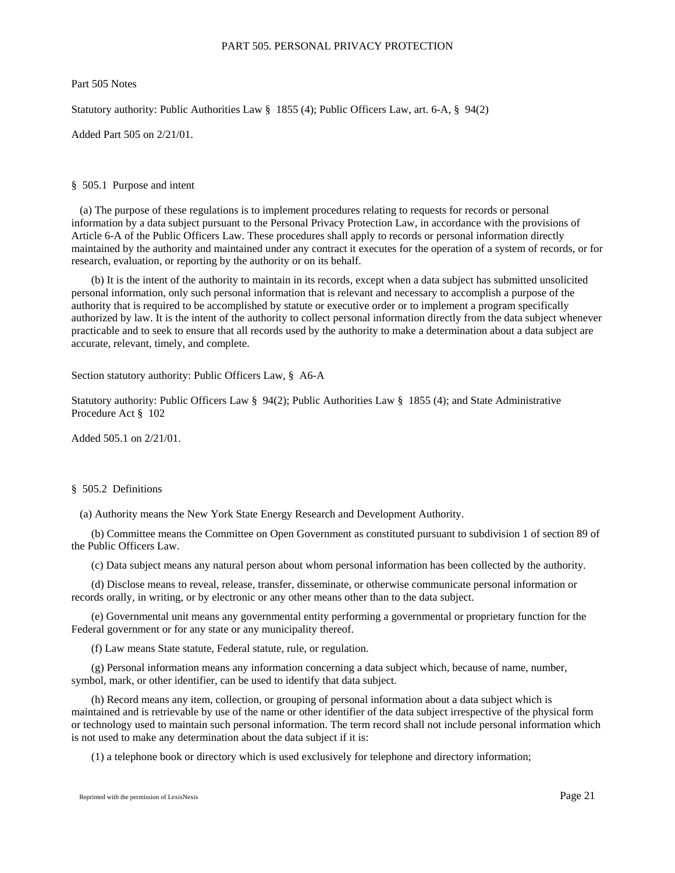## PART 505. PERSONAL PRIVACY PROTECTION

Part 505 Notes

Statutory authority: Public Authorities Law § 1855 (4); Public Officers Law, art. 6-A, § 94(2)

Added Part 505 on 2/21/01.

## § 505.1 Purpose and intent

 (a) The purpose of these regulations is to implement procedures relating to requests for records or personal information by a data subject pursuant to the Personal Privacy Protection Law, in accordance with the provisions of Article 6-A of the Public Officers Law. These procedures shall apply to records or personal information directly maintained by the authority and maintained under any contract it executes for the operation of a system of records, or for research, evaluation, or reporting by the authority or on its behalf.

(b) It is the intent of the authority to maintain in its records, except when a data subject has submitted unsolicited personal information, only such personal information that is relevant and necessary to accomplish a purpose of the authority that is required to be accomplished by statute or executive order or to implement a program specifically authorized by law. It is the intent of the authority to collect personal information directly from the data subject whenever practicable and to seek to ensure that all records used by the authority to make a determination about a data subject are accurate, relevant, timely, and complete.

Section statutory authority: Public Officers Law, § A6-A

Statutory authority: Public Officers Law § 94(2); Public Authorities Law § 1855 (4); and State Administrative Procedure Act § 102

Added 505.1 on 2/21/01.

## § 505.2 Definitions

(a) Authority means the New York State Energy Research and Development Authority.

(b) Committee means the Committee on Open Government as constituted pursuant to subdivision 1 of section 89 of the Public Officers Law.

(c) Data subject means any natural person about whom personal information has been collected by the authority.

(d) Disclose means to reveal, release, transfer, disseminate, or otherwise communicate personal information or records orally, in writing, or by electronic or any other means other than to the data subject.

(e) Governmental unit means any governmental entity performing a governmental or proprietary function for the Federal government or for any state or any municipality thereof.

(f) Law means State statute, Federal statute, rule, or regulation.

(g) Personal information means any information concerning a data subject which, because of name, number, symbol, mark, or other identifier, can be used to identify that data subject.

(h) Record means any item, collection, or grouping of personal information about a data subject which is maintained and is retrievable by use of the name or other identifier of the data subject irrespective of the physical form or technology used to maintain such personal information. The term record shall not include personal information which is not used to make any determination about the data subject if it is:

(1) a telephone book or directory which is used exclusively for telephone and directory information;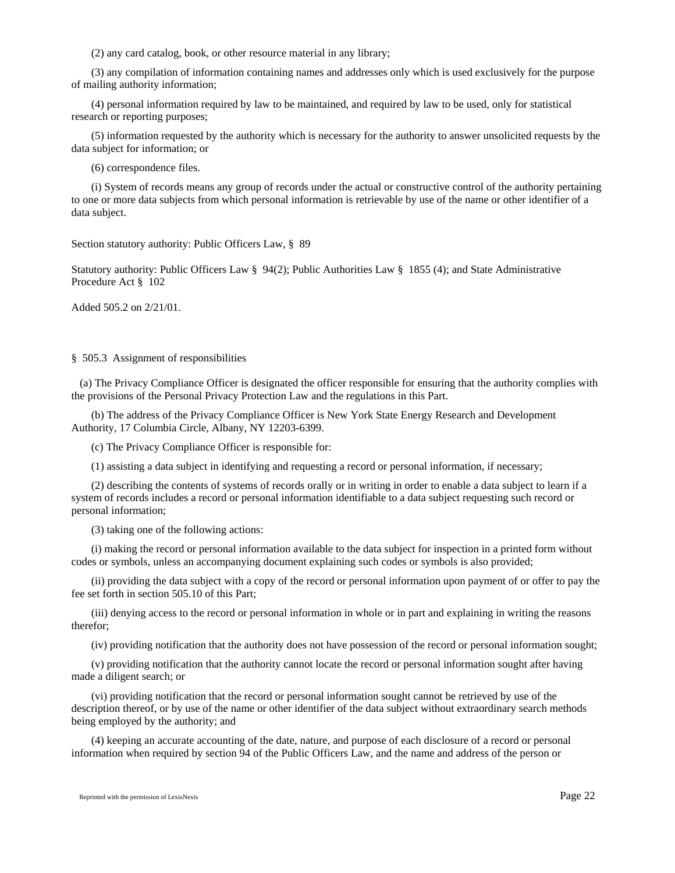(2) any card catalog, book, or other resource material in any library;

(3) any compilation of information containing names and addresses only which is used exclusively for the purpose of mailing authority information;

(4) personal information required by law to be maintained, and required by law to be used, only for statistical research or reporting purposes;

(5) information requested by the authority which is necessary for the authority to answer unsolicited requests by the data subject for information; or

(6) correspondence files.

(i) System of records means any group of records under the actual or constructive control of the authority pertaining to one or more data subjects from which personal information is retrievable by use of the name or other identifier of a data subject.

Section statutory authority: Public Officers Law, § 89

Statutory authority: Public Officers Law § 94(2); Public Authorities Law § 1855 (4); and State Administrative Procedure Act § 102

Added 505.2 on 2/21/01.

### § 505.3 Assignment of responsibilities

 (a) The Privacy Compliance Officer is designated the officer responsible for ensuring that the authority complies with the provisions of the Personal Privacy Protection Law and the regulations in this Part.

(b) The address of the Privacy Compliance Officer is New York State Energy Research and Development Authority, 17 Columbia Circle, Albany, NY 12203-6399.

(c) The Privacy Compliance Officer is responsible for:

(1) assisting a data subject in identifying and requesting a record or personal information, if necessary;

(2) describing the contents of systems of records orally or in writing in order to enable a data subject to learn if a system of records includes a record or personal information identifiable to a data subject requesting such record or personal information;

(3) taking one of the following actions:

(i) making the record or personal information available to the data subject for inspection in a printed form without codes or symbols, unless an accompanying document explaining such codes or symbols is also provided;

(ii) providing the data subject with a copy of the record or personal information upon payment of or offer to pay the fee set forth in section 505.10 of this Part;

(iii) denying access to the record or personal information in whole or in part and explaining in writing the reasons therefor;

(iv) providing notification that the authority does not have possession of the record or personal information sought;

(v) providing notification that the authority cannot locate the record or personal information sought after having made a diligent search; or

(vi) providing notification that the record or personal information sought cannot be retrieved by use of the description thereof, or by use of the name or other identifier of the data subject without extraordinary search methods being employed by the authority; and

(4) keeping an accurate accounting of the date, nature, and purpose of each disclosure of a record or personal information when required by section 94 of the Public Officers Law, and the name and address of the person or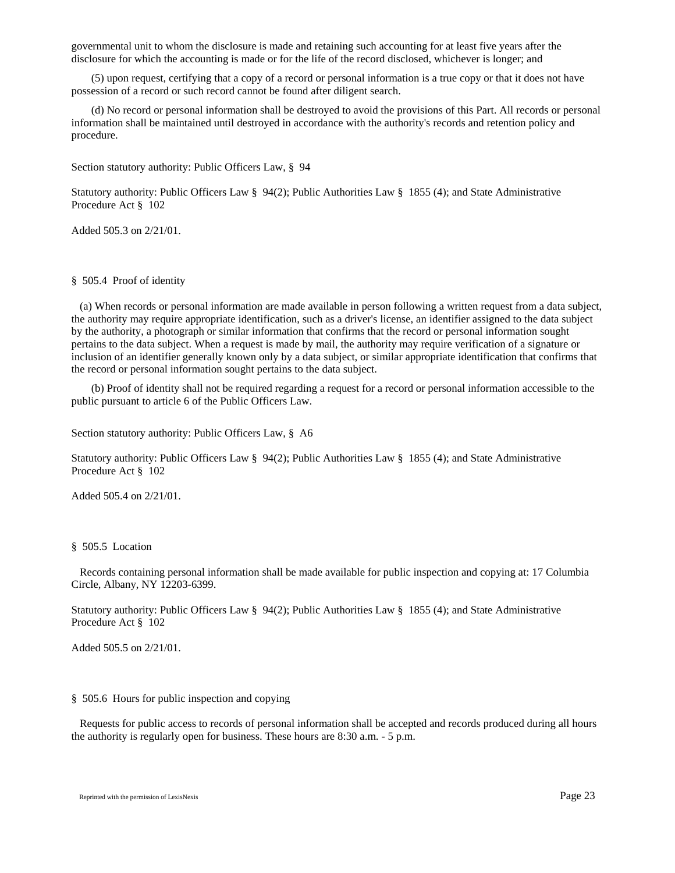governmental unit to whom the disclosure is made and retaining such accounting for at least five years after the disclosure for which the accounting is made or for the life of the record disclosed, whichever is longer; and

(5) upon request, certifying that a copy of a record or personal information is a true copy or that it does not have possession of a record or such record cannot be found after diligent search.

(d) No record or personal information shall be destroyed to avoid the provisions of this Part. All records or personal information shall be maintained until destroyed in accordance with the authority's records and retention policy and procedure.

Section statutory authority: Public Officers Law, § 94

Statutory authority: Public Officers Law § 94(2); Public Authorities Law § 1855 (4); and State Administrative Procedure Act § 102

Added 505.3 on 2/21/01.

## § 505.4 Proof of identity

 (a) When records or personal information are made available in person following a written request from a data subject, the authority may require appropriate identification, such as a driver's license, an identifier assigned to the data subject by the authority, a photograph or similar information that confirms that the record or personal information sought pertains to the data subject. When a request is made by mail, the authority may require verification of a signature or inclusion of an identifier generally known only by a data subject, or similar appropriate identification that confirms that the record or personal information sought pertains to the data subject.

(b) Proof of identity shall not be required regarding a request for a record or personal information accessible to the public pursuant to article 6 of the Public Officers Law.

Section statutory authority: Public Officers Law, § A6

Statutory authority: Public Officers Law § 94(2); Public Authorities Law § 1855 (4); and State Administrative Procedure Act § 102

Added 505.4 on 2/21/01.

#### § 505.5 Location

 Records containing personal information shall be made available for public inspection and copying at: 17 Columbia Circle, Albany, NY 12203-6399.

Statutory authority: Public Officers Law § 94(2); Public Authorities Law § 1855 (4); and State Administrative Procedure Act § 102

Added 505.5 on 2/21/01.

### § 505.6 Hours for public inspection and copying

 Requests for public access to records of personal information shall be accepted and records produced during all hours the authority is regularly open for business. These hours are 8:30 a.m. - 5 p.m.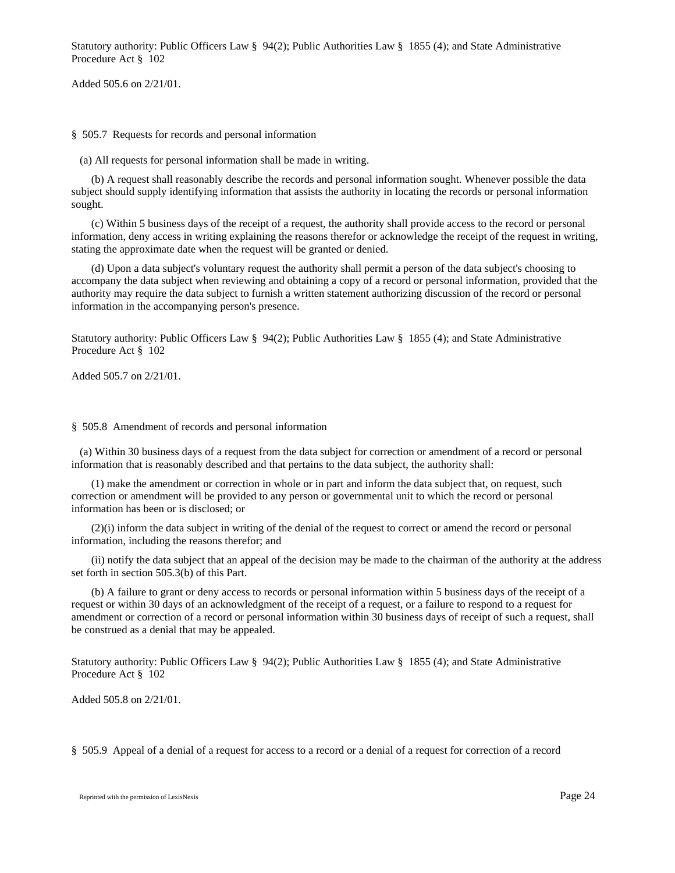Statutory authority: Public Officers Law § 94(2); Public Authorities Law § 1855 (4); and State Administrative Procedure Act § 102

Added 505.6 on 2/21/01.

§ 505.7 Requests for records and personal information

(a) All requests for personal information shall be made in writing.

(b) A request shall reasonably describe the records and personal information sought. Whenever possible the data subject should supply identifying information that assists the authority in locating the records or personal information sought.

(c) Within 5 business days of the receipt of a request, the authority shall provide access to the record or personal information, deny access in writing explaining the reasons therefor or acknowledge the receipt of the request in writing, stating the approximate date when the request will be granted or denied.

(d) Upon a data subject's voluntary request the authority shall permit a person of the data subject's choosing to accompany the data subject when reviewing and obtaining a copy of a record or personal information, provided that the authority may require the data subject to furnish a written statement authorizing discussion of the record or personal information in the accompanying person's presence.

Statutory authority: Public Officers Law § 94(2); Public Authorities Law § 1855 (4); and State Administrative Procedure Act § 102

Added 505.7 on 2/21/01.

#### § 505.8 Amendment of records and personal information

 (a) Within 30 business days of a request from the data subject for correction or amendment of a record or personal information that is reasonably described and that pertains to the data subject, the authority shall:

(1) make the amendment or correction in whole or in part and inform the data subject that, on request, such correction or amendment will be provided to any person or governmental unit to which the record or personal information has been or is disclosed; or

(2)(i) inform the data subject in writing of the denial of the request to correct or amend the record or personal information, including the reasons therefor; and

(ii) notify the data subject that an appeal of the decision may be made to the chairman of the authority at the address set forth in section 505.3(b) of this Part.

(b) A failure to grant or deny access to records or personal information within 5 business days of the receipt of a request or within 30 days of an acknowledgment of the receipt of a request, or a failure to respond to a request for amendment or correction of a record or personal information within 30 business days of receipt of such a request, shall be construed as a denial that may be appealed.

Statutory authority: Public Officers Law § 94(2); Public Authorities Law § 1855 (4); and State Administrative Procedure Act § 102

Added 505.8 on 2/21/01.

§ 505.9 Appeal of a denial of a request for access to a record or a denial of a request for correction of a record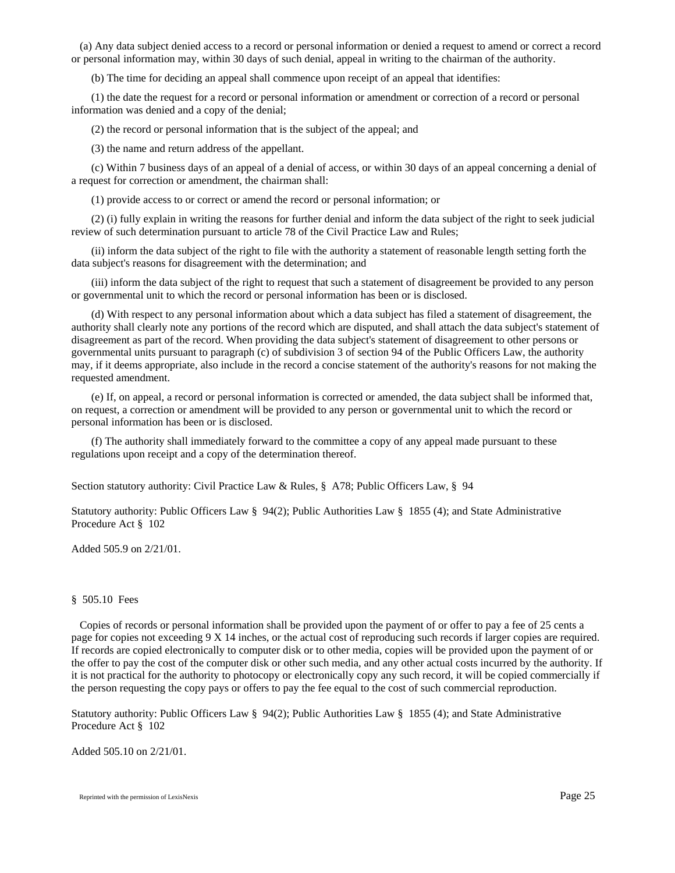(a) Any data subject denied access to a record or personal information or denied a request to amend or correct a record or personal information may, within 30 days of such denial, appeal in writing to the chairman of the authority.

(b) The time for deciding an appeal shall commence upon receipt of an appeal that identifies:

(1) the date the request for a record or personal information or amendment or correction of a record or personal information was denied and a copy of the denial;

(2) the record or personal information that is the subject of the appeal; and

(3) the name and return address of the appellant.

(c) Within 7 business days of an appeal of a denial of access, or within 30 days of an appeal concerning a denial of a request for correction or amendment, the chairman shall:

(1) provide access to or correct or amend the record or personal information; or

(2) (i) fully explain in writing the reasons for further denial and inform the data subject of the right to seek judicial review of such determination pursuant to article 78 of the Civil Practice Law and Rules;

(ii) inform the data subject of the right to file with the authority a statement of reasonable length setting forth the data subject's reasons for disagreement with the determination; and

(iii) inform the data subject of the right to request that such a statement of disagreement be provided to any person or governmental unit to which the record or personal information has been or is disclosed.

(d) With respect to any personal information about which a data subject has filed a statement of disagreement, the authority shall clearly note any portions of the record which are disputed, and shall attach the data subject's statement of disagreement as part of the record. When providing the data subject's statement of disagreement to other persons or governmental units pursuant to paragraph (c) of subdivision 3 of section 94 of the Public Officers Law, the authority may, if it deems appropriate, also include in the record a concise statement of the authority's reasons for not making the requested amendment.

(e) If, on appeal, a record or personal information is corrected or amended, the data subject shall be informed that, on request, a correction or amendment will be provided to any person or governmental unit to which the record or personal information has been or is disclosed.

(f) The authority shall immediately forward to the committee a copy of any appeal made pursuant to these regulations upon receipt and a copy of the determination thereof.

Section statutory authority: Civil Practice Law & Rules, § A78; Public Officers Law, § 94

Statutory authority: Public Officers Law § 94(2); Public Authorities Law § 1855 (4); and State Administrative Procedure Act § 102

Added 505.9 on 2/21/01.

### § 505.10 Fees

 Copies of records or personal information shall be provided upon the payment of or offer to pay a fee of 25 cents a page for copies not exceeding 9 X 14 inches, or the actual cost of reproducing such records if larger copies are required. If records are copied electronically to computer disk or to other media, copies will be provided upon the payment of or the offer to pay the cost of the computer disk or other such media, and any other actual costs incurred by the authority. If it is not practical for the authority to photocopy or electronically copy any such record, it will be copied commercially if the person requesting the copy pays or offers to pay the fee equal to the cost of such commercial reproduction.

Statutory authority: Public Officers Law § 94(2); Public Authorities Law § 1855 (4); and State Administrative Procedure Act § 102

Added 505.10 on 2/21/01.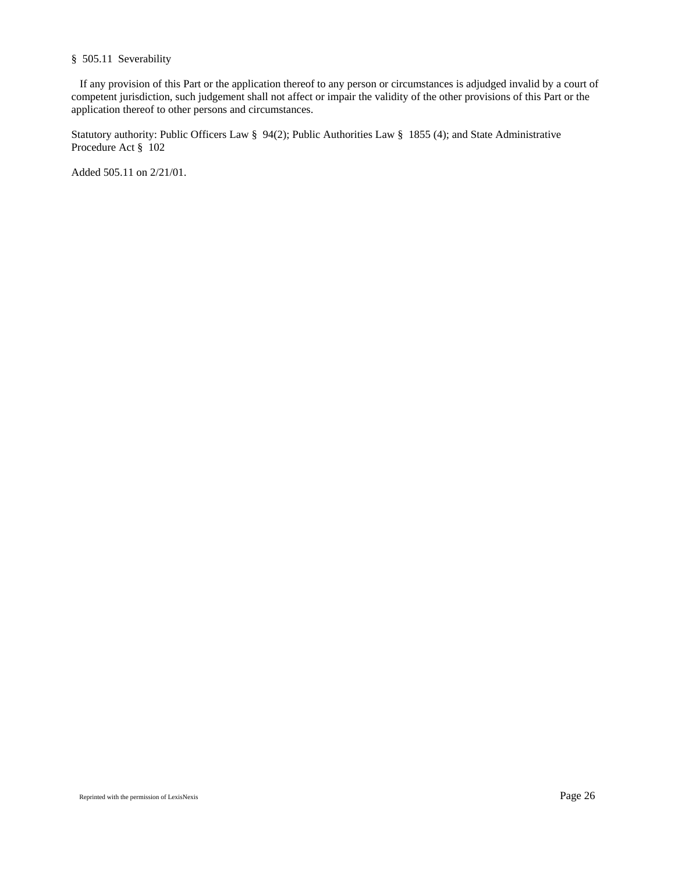# § 505.11 Severability

 If any provision of this Part or the application thereof to any person or circumstances is adjudged invalid by a court of competent jurisdiction, such judgement shall not affect or impair the validity of the other provisions of this Part or the application thereof to other persons and circumstances.

Statutory authority: Public Officers Law § 94(2); Public Authorities Law § 1855 (4); and State Administrative Procedure Act § 102

Added 505.11 on 2/21/01.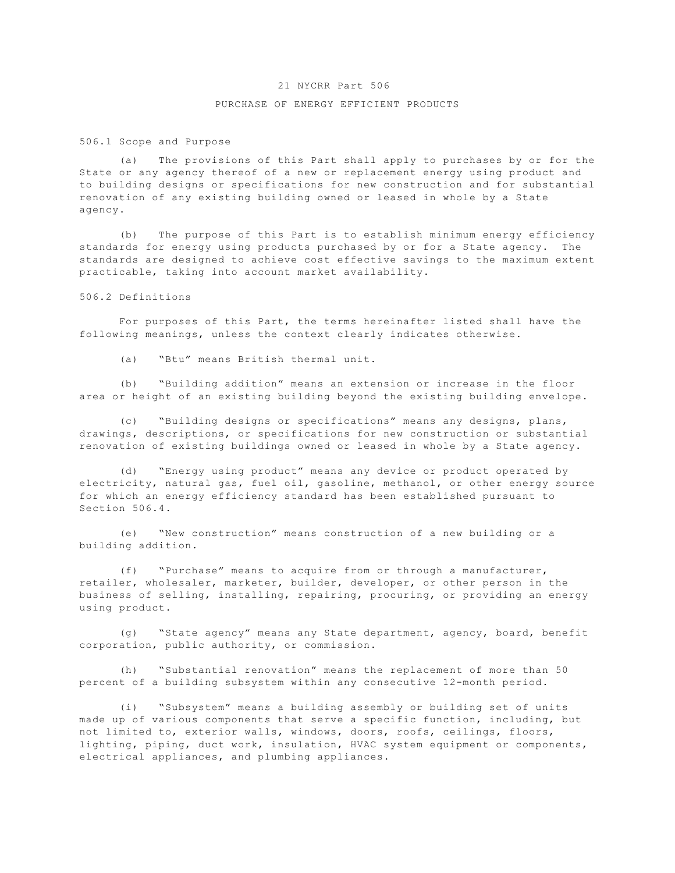## 21 NYCRR Part 506

## PURCHASE OF ENERGY EFFICIENT PRODUCTS

506.1 Scope and Purpose

(a) The provisions of this Part shall apply to purchases by or for the State or any agency thereof of a new or replacement energy using product and to building designs or specifications for new construction and for substantial renovation of any existing building owned or leased in whole by a State agency.

(b) The purpose of this Part is to establish minimum energy efficiency standards for energy using products purchased by or for a State agency. The standards are designed to achieve cost effective savings to the maximum extent practicable, taking into account market availability.

### 506.2 Definitions

For purposes of this Part, the terms hereinafter listed shall have the following meanings, unless the context clearly indicates otherwise.

(a) "Btu" means British thermal unit.

(b) "Building addition" means an extension or increase in the floor area or height of an existing building beyond the existing building envelope.

(c) "Building designs or specifications" means any designs, plans, drawings, descriptions, or specifications for new construction or substantial renovation of existing buildings owned or leased in whole by a State agency.

(d) "Energy using product" means any device or product operated by electricity, natural gas, fuel oil, gasoline, methanol, or other energy source for which an energy efficiency standard has been established pursuant to Section 506.4.

(e) "New construction" means construction of a new building or a building addition.

(f) "Purchase" means to acquire from or through a manufacturer, retailer, wholesaler, marketer, builder, developer, or other person in the business of selling, installing, repairing, procuring, or providing an energy using product.

(g) "State agency" means any State department, agency, board, benefit corporation, public authority, or commission.

(h) "Substantial renovation" means the replacement of more than 50 percent of a building subsystem within any consecutive 12-month period.

(i) "Subsystem" means a building assembly or building set of units made up of various components that serve a specific function, including, but not limited to, exterior walls, windows, doors, roofs, ceilings, floors, lighting, piping, duct work, insulation, HVAC system equipment or components, electrical appliances, and plumbing appliances.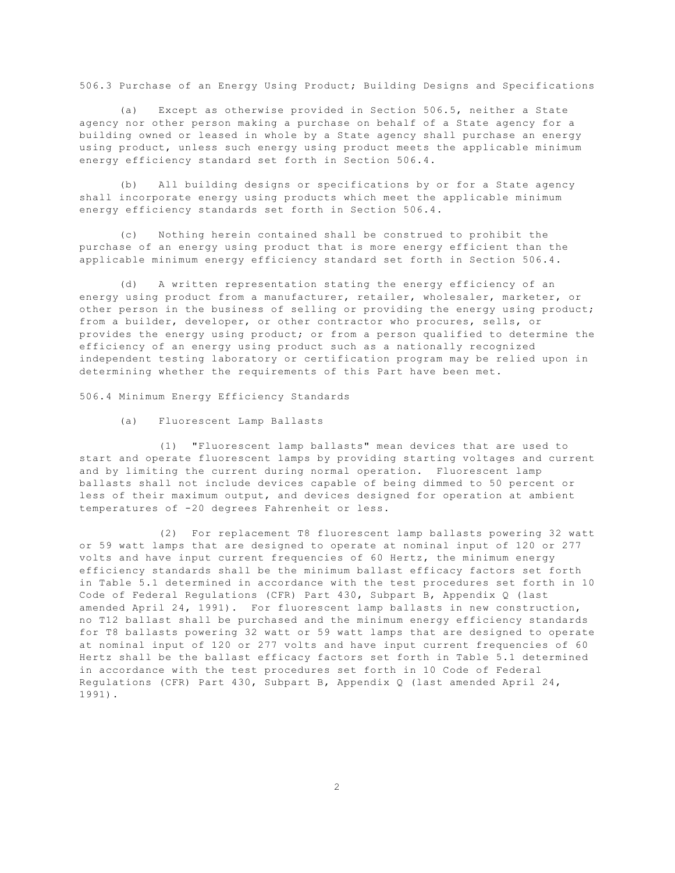506.3 Purchase of an Energy Using Product; Building Designs and Specifications

(a) Except as otherwise provided in Section 506.5, neither a State agency nor other person making a purchase on behalf of a State agency for a building owned or leased in whole by a State agency shall purchase an energy using product, unless such energy using product meets the applicable minimum energy efficiency standard set forth in Section 506.4.

(b) All building designs or specifications by or for a State agency shall incorporate energy using products which meet the applicable minimum energy efficiency standards set forth in Section 506.4.

(c) Nothing herein contained shall be construed to prohibit the purchase of an energy using product that is more energy efficient than the applicable minimum energy efficiency standard set forth in Section 506.4.

(d) A written representation stating the energy efficiency of an energy using product from a manufacturer, retailer, wholesaler, marketer, or other person in the business of selling or providing the energy using product; from a builder, developer, or other contractor who procures, sells, or provides the energy using product; or from a person qualified to determine the efficiency of an energy using product such as a nationally recognized independent testing laboratory or certification program may be relied upon in determining whether the requirements of this Part have been met.

506.4 Minimum Energy Efficiency Standards

(a) Fluorescent Lamp Ballasts

(1) "Fluorescent lamp ballasts" mean devices that are used to start and operate fluorescent lamps by providing starting voltages and current and by limiting the current during normal operation. Fluorescent lamp ballasts shall not include devices capable of being dimmed to 50 percent or less of their maximum output, and devices designed for operation at ambient temperatures of -20 degrees Fahrenheit or less.

(2) For replacement T8 fluorescent lamp ballasts powering 32 watt or 59 watt lamps that are designed to operate at nominal input of 120 or 277 volts and have input current frequencies of 60 Hertz, the minimum energy efficiency standards shall be the minimum ballast efficacy factors set forth in Table 5.1 determined in accordance with the test procedures set forth in 10 Code of Federal Regulations (CFR) Part 430, Subpart B, Appendix Q (last amended April 24, 1991). For fluorescent lamp ballasts in new construction, no T12 ballast shall be purchased and the minimum energy efficiency standards for T8 ballasts powering 32 watt or 59 watt lamps that are designed to operate at nominal input of 120 or 277 volts and have input current frequencies of 60 Hertz shall be the ballast efficacy factors set forth in Table 5.1 determined in accordance with the test procedures set forth in 10 Code of Federal Regulations (CFR) Part 430, Subpart B, Appendix Q (last amended April 24, 1991).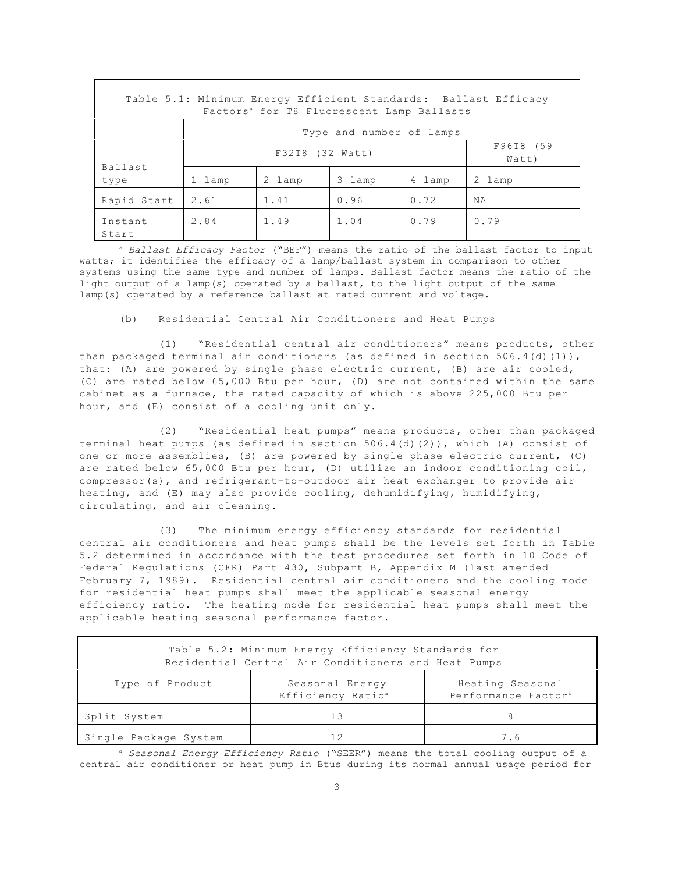| Table 5.1: Minimum Energy Efficient Standards: Ballast Efficacy<br>Factors <sup>a</sup> for T8 Fluorescent Lamp Ballasts |                                       |        |        |        |           |  |  |
|--------------------------------------------------------------------------------------------------------------------------|---------------------------------------|--------|--------|--------|-----------|--|--|
|                                                                                                                          | Type and number of lamps              |        |        |        |           |  |  |
|                                                                                                                          | F96T8 (59<br>F32T8 (32 Watt)<br>Watt) |        |        |        |           |  |  |
| Ballast<br>type                                                                                                          | 1 lamp                                | 2 lamp | 3 lamp | 4 lamp | 2 lamp    |  |  |
| Rapid Start                                                                                                              | 2.61                                  | 1.41   | 0.96   | 0.72   | <b>NA</b> |  |  |
| Instant<br>Start                                                                                                         | 2.84                                  | 1.49   | 1.04   | 0.79   | 0.79      |  |  |

*a Ballast Efficacy Factor* ("BEF") means the ratio of the ballast factor to input watts; it identifies the efficacy of a lamp/ballast system in comparison to other systems using the same type and number of lamps. Ballast factor means the ratio of the light output of a lamp(s) operated by a ballast, to the light output of the same lamp(s) operated by a reference ballast at rated current and voltage.

(b) Residential Central Air Conditioners and Heat Pumps

(1) "Residential central air conditioners" means products, other than packaged terminal air conditioners (as defined in section 506.4(d)(1)), that: (A) are powered by single phase electric current, (B) are air cooled, (C) are rated below 65,000 Btu per hour, (D) are not contained within the same cabinet as a furnace, the rated capacity of which is above 225,000 Btu per hour, and (E) consist of a cooling unit only.

(2) "Residential heat pumps" means products, other than packaged terminal heat pumps (as defined in section 506.4(d)(2)), which (A) consist of one or more assemblies, (B) are powered by single phase electric current, (C) are rated below 65,000 Btu per hour, (D) utilize an indoor conditioning coil, compressor(s), and refrigerant-to-outdoor air heat exchanger to provide air heating, and (E) may also provide cooling, dehumidifying, humidifying, circulating, and air cleaning.

(3) The minimum energy efficiency standards for residential central air conditioners and heat pumps shall be the levels set forth in Table 5.2 determined in accordance with the test procedures set forth in 10 Code of Federal Regulations (CFR) Part 430, Subpart B, Appendix M (last amended February 7, 1989). Residential central air conditioners and the cooling mode for residential heat pumps shall meet the applicable seasonal energy efficiency ratio. The heating mode for residential heat pumps shall meet the applicable heating seasonal performance factor.

| Table 5.2: Minimum Energy Efficiency Standards for<br>Residential Central Air Conditioners and Heat Pumps |                                                  |                                                     |  |  |  |  |
|-----------------------------------------------------------------------------------------------------------|--------------------------------------------------|-----------------------------------------------------|--|--|--|--|
| Type of Product                                                                                           | Seasonal Energy<br>Efficiency Ratio <sup>a</sup> | Heating Seasonal<br>Performance Factor <sup>b</sup> |  |  |  |  |
| Split System                                                                                              |                                                  | 8                                                   |  |  |  |  |
| Single Package System                                                                                     |                                                  | 7.6                                                 |  |  |  |  |

<sup>a</sup> Seasonal Energy Efficiency Ratio ("SEER") means the total cooling output of a central air conditioner or heat pump in Btus during its normal annual usage period for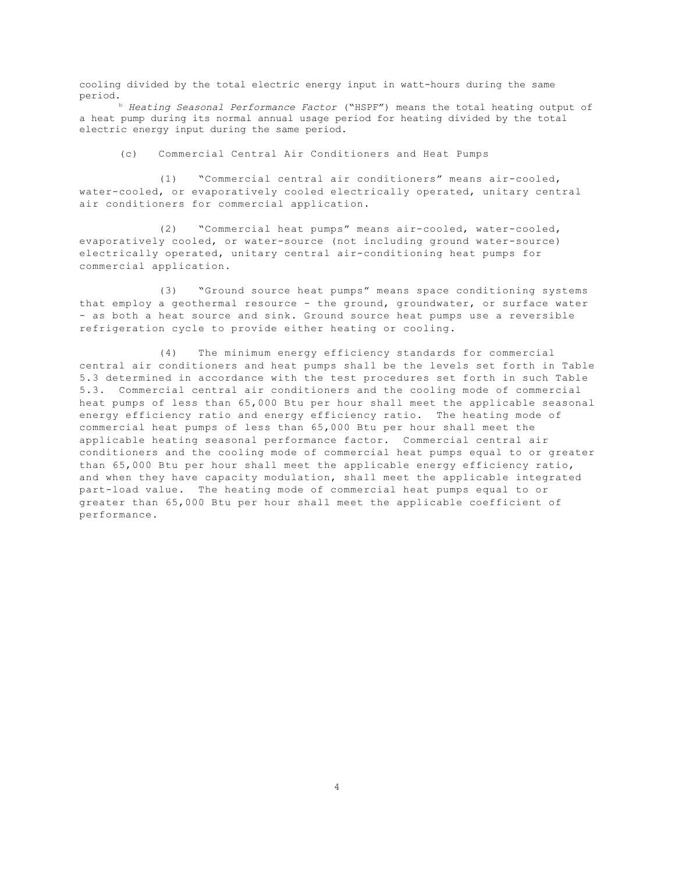cooling divided by the total electric energy input in watt-hours during the same period.

b *Heating Seasonal Performance Factor* ("HSPF") means the total heating output of a heat pump during its normal annual usage period for heating divided by the total electric energy input during the same period.

(c) Commercial Central Air Conditioners and Heat Pumps

(1) "Commercial central air conditioners" means air-cooled, water-cooled, or evaporatively cooled electrically operated, unitary central air conditioners for commercial application.

(2) "Commercial heat pumps" means air-cooled, water-cooled, evaporatively cooled, or water-source (not including ground water-source) electrically operated, unitary central air-conditioning heat pumps for commercial application.

(3) "Ground source heat pumps" means space conditioning systems that employ a geothermal resource - the ground, groundwater, or surface water - as both a heat source and sink. Ground source heat pumps use a reversible refrigeration cycle to provide either heating or cooling.

(4) The minimum energy efficiency standards for commercial central air conditioners and heat pumps shall be the levels set forth in Table 5.3 determined in accordance with the test procedures set forth in such Table 5.3. Commercial central air conditioners and the cooling mode of commercial heat pumps of less than 65,000 Btu per hour shall meet the applicable seasonal energy efficiency ratio and energy efficiency ratio. The heating mode of commercial heat pumps of less than 65,000 Btu per hour shall meet the applicable heating seasonal performance factor. Commercial central air conditioners and the cooling mode of commercial heat pumps equal to or greater than 65,000 Btu per hour shall meet the applicable energy efficiency ratio, and when they have capacity modulation, shall meet the applicable integrated part-load value. The heating mode of commercial heat pumps equal to or greater than 65,000 Btu per hour shall meet the applicable coefficient of performance.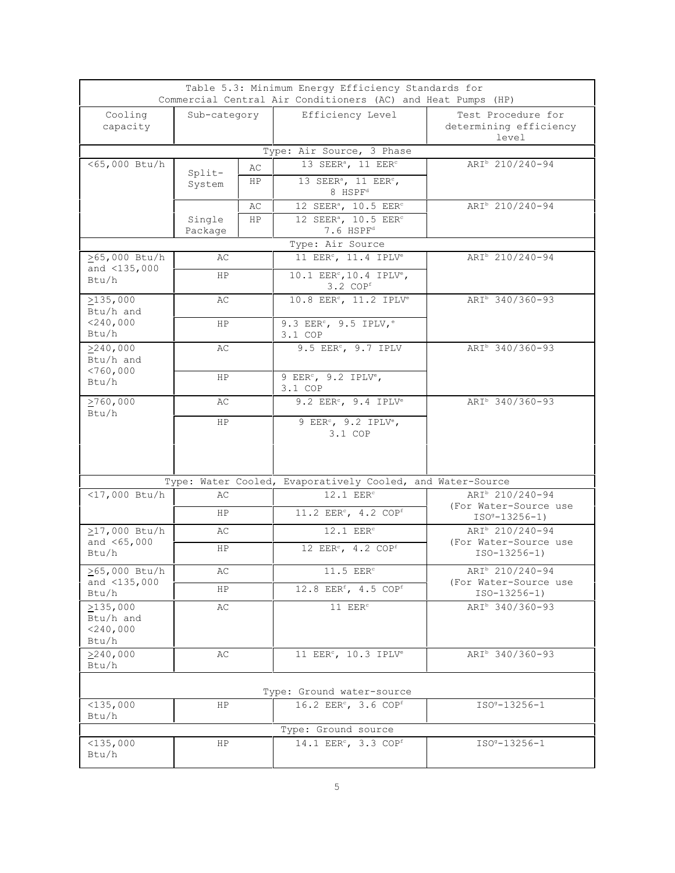|                                        |                   |           | Table 5.3: Minimum Energy Efficiency Standards for<br>Commercial Central Air Conditioners (AC) and Heat Pumps (HP) |                                                       |
|----------------------------------------|-------------------|-----------|--------------------------------------------------------------------------------------------------------------------|-------------------------------------------------------|
| Cooling<br>capacity                    | Sub-category      |           | Efficiency Level                                                                                                   | Test Procedure for<br>determining efficiency<br>level |
|                                        |                   |           | Type: Air Source, 3 Phase                                                                                          |                                                       |
| <65,000 Btu/h                          |                   | AС        | 13 SEER <sup>a</sup> , 11 EER <sup>c</sup>                                                                         | ARI <sup>b</sup> 210/240-94                           |
|                                        | Split-<br>System  | HP.       | 13 SEER <sup>a</sup> , 11 EER <sup>c</sup> ,<br>8 HSPF <sup>d</sup>                                                |                                                       |
|                                        |                   | AС        | 12 SEER <sup>a</sup> , 10.5 EER <sup>c</sup>                                                                       | ARI <sup>b</sup> 210/240-94                           |
|                                        | Single<br>Package | <b>HP</b> | 12 SEER <sup>a</sup> , 10.5 EER <sup>c</sup><br>7.6 HSPF <sup>d</sup>                                              |                                                       |
|                                        |                   |           | Type: Air Source                                                                                                   |                                                       |
| ≥65,000 Btu/h                          | AС                |           | 11 EER <sup>c</sup> , 11.4 IPLV <sup>e</sup>                                                                       | ARI <sup>b</sup> 210/240-94                           |
| and $<$ 135,000<br>Btu/h               | <b>HP</b>         |           | 10.1 EER <sup>c</sup> , 10.4 IPLV <sup>e</sup> ,<br>$3.2$ COP <sup>f</sup>                                         |                                                       |
| >135,000                               | AС                |           | 10.8 EER <sup>c</sup> , 11.2 IPLV <sup>e</sup>                                                                     | ARI <sup>b</sup> 340/360-93                           |
| Btu/h and                              |                   |           |                                                                                                                    |                                                       |
| $<$ 240,000<br>Btu/h                   | HP                |           | 9.3 EER <sup>c</sup> , 9.5 IPLV, <sup>e</sup><br>3.1 COP                                                           |                                                       |
| >240,000                               | AС                |           | 9.5 EER <sup>c</sup> , 9.7 IPLV                                                                                    | ARI <sup>b</sup> 340/360-93                           |
| Btu/h and                              |                   |           |                                                                                                                    |                                                       |
| < 760,000<br>Btu/h                     | <b>HP</b>         |           | 9 EER $\degree$ , 9.2 IPLV $\degree$ ,<br>3.1 COP                                                                  |                                                       |
| >760,000<br>Btu/h                      | AС                |           | $9.2$ EER <sup>c</sup> , $9.4$ IPLV <sup>e</sup>                                                                   | ARI <sup>b</sup> 340/360-93                           |
|                                        | ΗP                |           | 9 EER $\degree$ , 9.2 IPLV $\degree$ ,<br>3.1 COP                                                                  |                                                       |
|                                        |                   |           | Type: Water Cooled, Evaporatively Cooled, and Water-Source                                                         |                                                       |
| $<$ 17,000 Btu/h                       | AС                |           | $12.1$ EER <sup>c</sup>                                                                                            | ARI <sup>b</sup> 210/240-94                           |
|                                        | HP.               |           | $\overline{11.2}$ EER <sup>c</sup> , 4.2 COP <sup>f</sup>                                                          | (For Water-Source use<br>$ISOg-13256-1)$              |
| $\geq$ 17,000 Btu/h                    | AС                |           | 12.1 EER <sup>c</sup>                                                                                              | ARI <sup>b</sup> 210/240-94                           |
| and $<65,000$<br>Btu/h                 | ΗP                |           | 12 EER <sup>c</sup> , 4.2 COP <sup>f</sup>                                                                         | (For Water-Source use<br>$ISO-13256-1)$               |
| $\geq$ 65,000 Btu/h<br>and $<$ 135,000 | АC                |           | 11.5 EER <sup>c</sup>                                                                                              | ARI <sup>b</sup> 210/240-94<br>(For Water-Source use  |
| Btu/h                                  | ΗP                |           | 12.8 EER <sup>f</sup> , 4.5 COP <sup>f</sup>                                                                       | $ISO-13256-1)$                                        |
| >135,000<br>Btu/h and                  | AС                |           | 11 $EERc$                                                                                                          | ARI <sup>b</sup> 340/360-93                           |
| $<$ 240,000<br>Btu/h                   |                   |           |                                                                                                                    |                                                       |
| >240,000<br>Btu/h                      | AС                |           | 11 EER <sup>c</sup> , 10.3 IPLV <sup>e</sup>                                                                       | ARI <sup>b</sup> 340/360-93                           |
|                                        |                   |           | Type: Ground water-source                                                                                          |                                                       |
| $<$ 135,000<br>Btu/h                   | ΗP                |           | 16.2 EER <sup>c</sup> , 3.6 COPf                                                                                   | ISO <sup>9</sup> -13256-1                             |
|                                        |                   |           | Type: Ground source                                                                                                |                                                       |
| $<$ 135,000<br>Btu/h                   | ΗP                |           | 14.1 EER <sup>c</sup> , 3.3 COP <sup>f</sup>                                                                       | $ISO9-13256-1$                                        |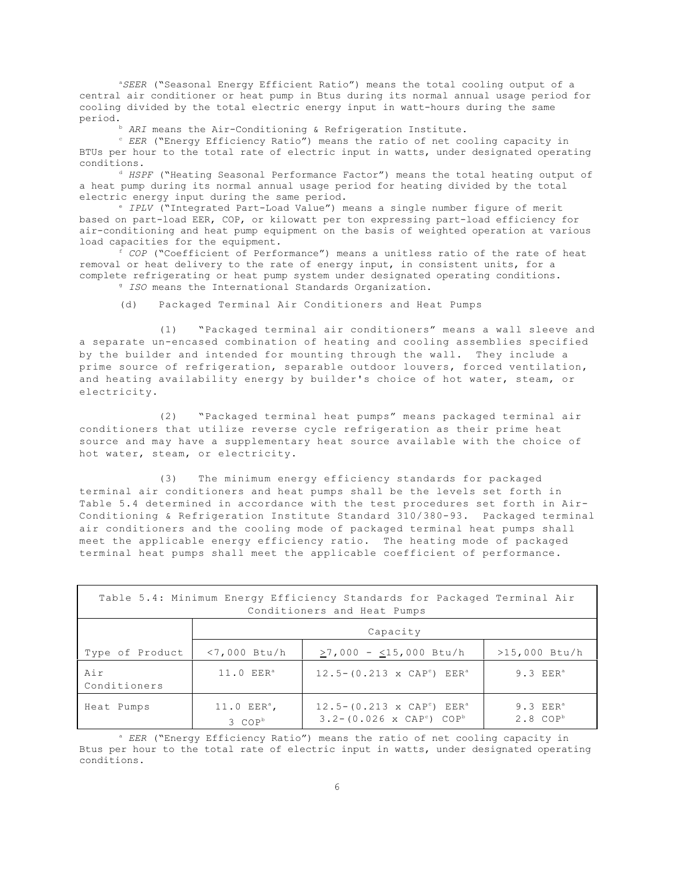a*SEER* ("Seasonal Energy Efficient Ratio") means the total cooling output of a central air conditioner or heat pump in Btus during its normal annual usage period for cooling divided by the total electric energy input in watt-hours during the same period.

b *ARI* means the Air-Conditioning & Refrigeration Institute.

C EER ("Energy Efficiency Ratio") means the ratio of net cooling capacity in BTUs per hour to the total rate of electric input in watts, under designated operating conditions.

<sup>d</sup> HSPF ("Heating Seasonal Performance Factor") means the total heating output of a heat pump during its normal annual usage period for heating divided by the total electric energy input during the same period.

e *IPLV* ("Integrated Part-Load Value") means a single number figure of merit based on part-load EER, COP, or kilowatt per ton expressing part-load efficiency for air-conditioning and heat pump equipment on the basis of weighted operation at various load capacities for the equipment.

f *COP* ("Coefficient of Performance") means a unitless ratio of the rate of heat removal or heat delivery to the rate of energy input, in consistent units, for a complete refrigerating or heat pump system under designated operating conditions. g *ISO* means the International Standards Organization.

(d) Packaged Terminal Air Conditioners and Heat Pumps

(1) "Packaged terminal air conditioners" means a wall sleeve and a separate un-encased combination of heating and cooling assemblies specified by the builder and intended for mounting through the wall. They include a prime source of refrigeration, separable outdoor louvers, forced ventilation, and heating availability energy by builder's choice of hot water, steam, or electricity.

(2) "Packaged terminal heat pumps" means packaged terminal air conditioners that utilize reverse cycle refrigeration as their prime heat source and may have a supplementary heat source available with the choice of hot water, steam, or electricity.

(3) The minimum energy efficiency standards for packaged terminal air conditioners and heat pumps shall be the levels set forth in Table 5.4 determined in accordance with the test procedures set forth in Air- Conditioning & Refrigeration Institute Standard 310/380-93. Packaged terminal air conditioners and the cooling mode of packaged terminal heat pumps shall meet the applicable energy efficiency ratio. The heating mode of packaged terminal heat pumps shall meet the applicable coefficient of performance.

| Table 5.4: Minimum Energy Efficiency Standards for Packaged Terminal Air<br>Conditioners and Heat Pumps |                                       |                                                                                                               |                                        |  |  |  |  |  |  |
|---------------------------------------------------------------------------------------------------------|---------------------------------------|---------------------------------------------------------------------------------------------------------------|----------------------------------------|--|--|--|--|--|--|
| Capacity                                                                                                |                                       |                                                                                                               |                                        |  |  |  |  |  |  |
| Type of Product                                                                                         | $<$ 7,000 Btu/h                       | $>7,000 - 15,000$ Btu/h                                                                                       | $>15,000$ Btu/h                        |  |  |  |  |  |  |
| Air<br>Conditioners                                                                                     | 11.0 EER <sup>a</sup>                 | $12.5 - (0.213 \times \text{CAP}^c)$ EER <sup>a</sup>                                                         | $9.3$ EER <sup>a</sup>                 |  |  |  |  |  |  |
| Heat Pumps                                                                                              | $11.0$ $EERa$ ,<br>3 COP <sup>b</sup> | $12.5 - (0.213 \times \text{CAP}^c)$ EER <sup>a</sup><br>$3.2 - (0.026 \times \text{CAP}^c)$ COP <sup>b</sup> | $9.3$ $EERa$<br>$2.8$ COP <sup>b</sup> |  |  |  |  |  |  |

<sup>a</sup> EER ("Energy Efficiency Ratio") means the ratio of net cooling capacity in Btus per hour to the total rate of electric input in watts, under designated operating conditions.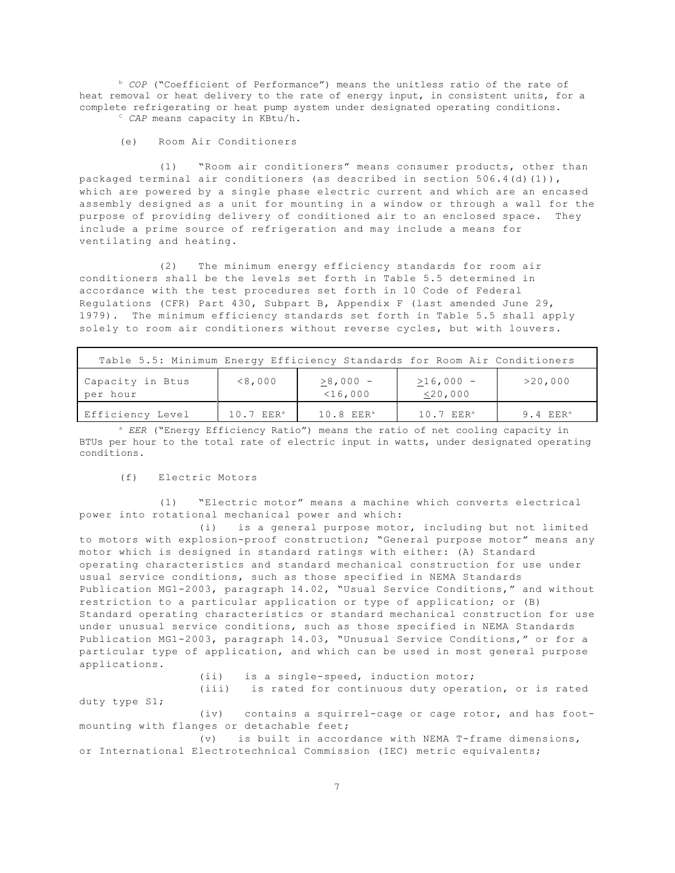b *COP* ("Coefficient of Performance") means the unitless ratio of the rate of heat removal or heat delivery to the rate of energy input, in consistent units, for a complete refrigerating or heat pump system under designated operating conditions. C *CAP* means capacity in KBtu/h.

(e) Room Air Conditioners

(1) "Room air conditioners" means consumer products, other than packaged terminal air conditioners (as described in section 506.4(d)(1)), which are powered by a single phase electric current and which are an encased assembly designed as a unit for mounting in a window or through a wall for the purpose of providing delivery of conditioned air to an enclosed space. They include a prime source of refrigeration and may include a means for ventilating and heating.

(2) The minimum energy efficiency standards for room air conditioners shall be the levels set forth in Table 5.5 determined in accordance with the test procedures set forth in 10 Code of Federal Regulations (CFR) Part 430, Subpart B, Appendix F (last amended June 29, 1979). The minimum efficiency standards set forth in Table 5.5 shall apply solely to room air conditioners without reverse cycles, but with louvers.

| Table 5.5: Minimum Energy Efficiency Standards for Room Air Conditioners |               |                          |                           |            |  |  |  |  |
|--------------------------------------------------------------------------|---------------|--------------------------|---------------------------|------------|--|--|--|--|
| Capacity in Btus<br>per hour                                             | < 8,000       | $>8,000 -$<br>$<$ 16,000 | $>16,000 -$<br>$<$ 20,000 | >20,000    |  |  |  |  |
| Efficiency Level                                                         | $10.7$ $EERa$ | $10.8$ EER <sup>a</sup>  | $10.7$ $EERa$             | 9.4 $EERa$ |  |  |  |  |

<sup>a</sup> EER ("Energy Efficiency Ratio") means the ratio of net cooling capacity in BTUs per hour to the total rate of electric input in watts, under designated operating conditions.

(f) Electric Motors

(1) "Electric motor" means a machine which converts electrical power into rotational mechanical power and which:

(i) is a general purpose motor, including but not limited to motors with explosion-proof construction; "General purpose motor" means any motor which is designed in standard ratings with either: (A) Standard operating characteristics and standard mechanical construction for use under usual service conditions, such as those specified in NEMA Standards Publication MG1-2003, paragraph 14.02, "Usual Service Conditions," and without restriction to a particular application or type of application; or (B) Standard operating characteristics or standard mechanical construction for use under unusual service conditions, such as those specified in NEMA Standards Publication MG1-2003, paragraph 14.03, "Unusual Service Conditions," or for a particular type of application, and which can be used in most general purpose applications.

(ii) is a single-speed, induction motor;

(iii) is rated for continuous duty operation, or is rated duty type S1;

(iv) contains a squirrel-cage or cage rotor, and has foot mounting with flanges or detachable feet;

(v) is built in accordance with NEMA T-frame dimensions, or International Electrotechnical Commission (IEC) metric equivalents;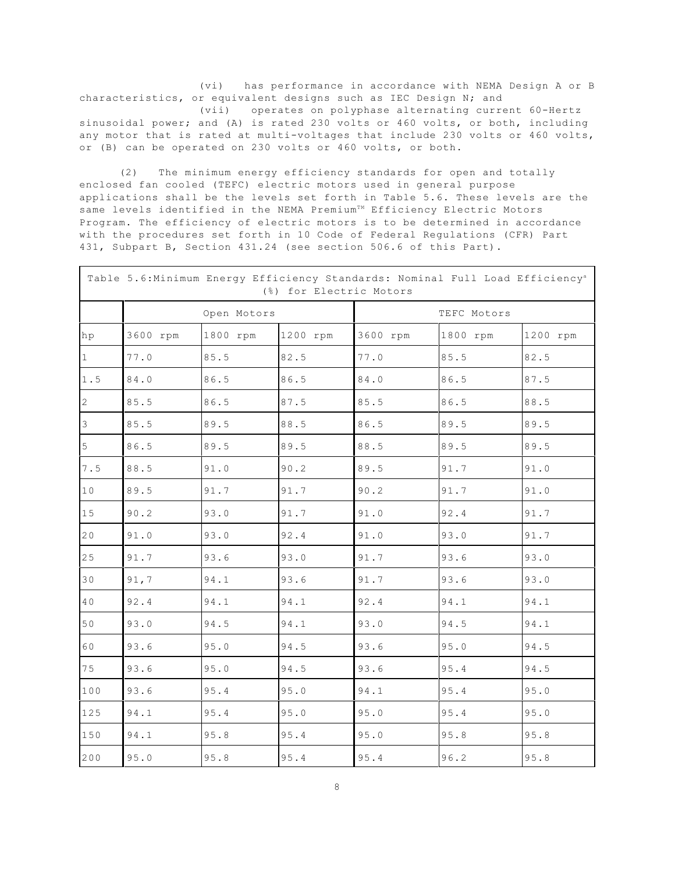(vi) has performance in accordance with NEMA Design A or B characteristics, or equivalent designs such as IEC Design N; and (vii) operates on polyphase alternating current 60-Hertz sinusoidal power; and (A) is rated 230 volts or 460 volts, or both, including any motor that is rated at multi-voltages that include 230 volts or 460 volts, or (B) can be operated on 230 volts or 460 volts, or both.

(2) The minimum energy efficiency standards for open and totally enclosed fan cooled (TEFC) electric motors used in general purpose applications shall be the levels set forth in Table 5.6. These levels are the same levels identified in the NEMA Premium<sup>TM</sup> Efficiency Electric Motors Program. The efficiency of electric motors is to be determined in accordance with the procedures set forth in 10 Code of Federal Regulations (CFR) Part 431, Subpart B, Section 431.24 (see section 506.6 of this Part).

|                |          |             | (%) for Electric Motors | Table 5.6:Minimum Energy Efficiency Standards: Nominal Full Load Efficiency <sup>a</sup> |             |          |  |  |
|----------------|----------|-------------|-------------------------|------------------------------------------------------------------------------------------|-------------|----------|--|--|
|                |          | Open Motors |                         |                                                                                          | TEFC Motors |          |  |  |
| hp             | 3600 rpm | 1800 rpm    | 1200 rpm                | 3600 rpm                                                                                 | 1800 rpm    | 1200 rpm |  |  |
| $\mathbf{1}$   | 77.0     | 85.5        | 82.5                    | 77.0                                                                                     | 85.5        | 82.5     |  |  |
| 1.5            | 84.0     | 86.5        | 86.5                    | 84.0                                                                                     | 86.5        | 87.5     |  |  |
| $\overline{2}$ | 85.5     | 86.5        | 87.5                    | 85.5                                                                                     | 86.5        | 88.5     |  |  |
| $\mathcal{E}$  | 85.5     | 89.5        | 88.5                    | 86.5                                                                                     | 89.5        | 89.5     |  |  |
| 5              | 86.5     | 89.5        | 89.5                    | 88.5                                                                                     | 89.5        | 89.5     |  |  |
| 7.5            | 88.5     | 91.0        | 90.2                    | 89.5                                                                                     | 91.7        | 91.0     |  |  |
| 10             | 89.5     | 91.7        | 91.7                    | 90.2                                                                                     | 91.7        | 91.0     |  |  |
| 15             | 90.2     | 93.0        | 91.7                    | 91.0                                                                                     | 92.4        | 91.7     |  |  |
| 20             | 91.0     | 93.0        | 92.4                    | 91.0                                                                                     | 93.0        | 91.7     |  |  |
| 25             | 91.7     | 93.6        | 93.0                    | 91.7                                                                                     | 93.6        | 93.0     |  |  |
| 30             | 91,7     | 94.1        | 93.6                    | 91.7                                                                                     | 93.6        | 93.0     |  |  |
| 40             | 92.4     | 94.1        | 94.1                    | 92.4                                                                                     | 94.1        | 94.1     |  |  |
| 50             | 93.0     | 94.5        | 94.1                    | 93.0                                                                                     | 94.5        | 94.1     |  |  |
| 60             | 93.6     | 95.0        | 94.5                    | 93.6                                                                                     | 95.0        | 94.5     |  |  |
| 75             | 93.6     | 95.0        | 94.5                    | 93.6                                                                                     | 95.4        | 94.5     |  |  |
| 100            | 93.6     | 95.4        | 95.0                    | 94.1                                                                                     | 95.4        | 95.0     |  |  |
| 125            | 94.1     | 95.4        | 95.0                    | 95.0                                                                                     | 95.4        | 95.0     |  |  |
| 150            | 94.1     | 95.8        | 95.4                    | 95.0                                                                                     | 95.8        | 95.8     |  |  |
| $200$          | 95.0     | 95.8        | 95.4                    | 95.4                                                                                     | 96.2        | 95.8     |  |  |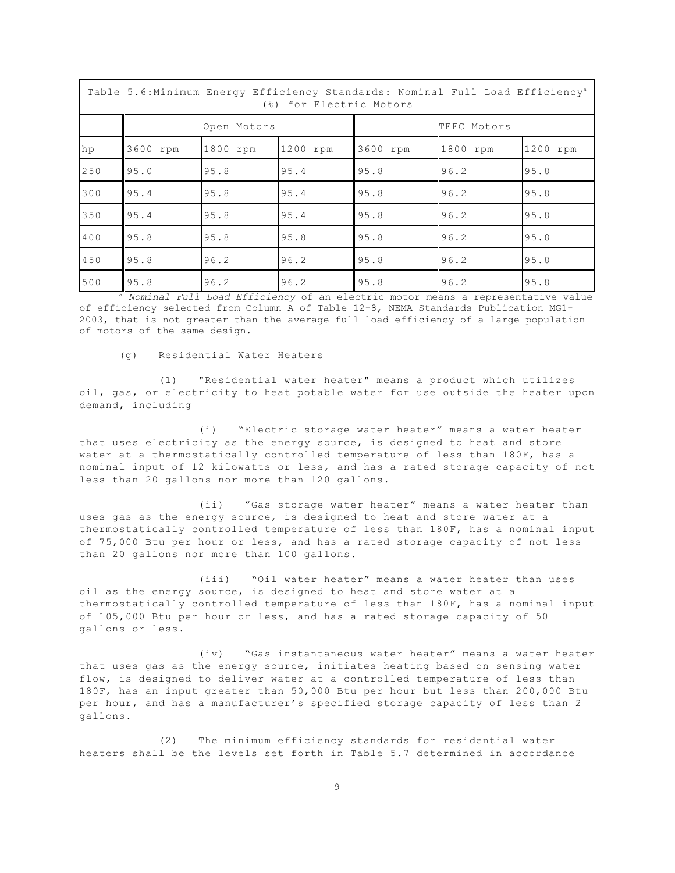|     | Table 5.6: Minimum Energy Efficiency Standards: Nominal Full Load Efficiency <sup>a</sup><br>(%) for Electric Motors |             |          |             |          |          |  |  |  |
|-----|----------------------------------------------------------------------------------------------------------------------|-------------|----------|-------------|----------|----------|--|--|--|
|     |                                                                                                                      | Open Motors |          | TEFC Motors |          |          |  |  |  |
| hp  | 3600 rpm                                                                                                             | 1800 rpm    | 1200 rpm | 3600 rpm    | 1800 rpm | 1200 rpm |  |  |  |
| 250 | 95.0                                                                                                                 | 95.8        | 95.4     | 95.8        | 96.2     | 95.8     |  |  |  |
| 300 | 95.4                                                                                                                 | 95.8        | 95.4     | 95.8        | 96.2     | 95.8     |  |  |  |
| 350 | 95.4                                                                                                                 | 95.8        | 95.4     | 95.8        | 96.2     | 95.8     |  |  |  |
| 400 | 95.8                                                                                                                 | 95.8        | 95.8     | 95.8        | 96.2     | 95.8     |  |  |  |
| 450 | 95.8                                                                                                                 | 96.2        | 96.2     | 95.8        | 96.2     | 95.8     |  |  |  |
| 500 | 95.8                                                                                                                 | 96.2        | 96.2     | 95.8        | 96.2     | 95.8     |  |  |  |

a *Nominal Full Load Efficiency* of an electric motor means a representative value of efficiency selected from Column A of Table 12-8, NEMA Standards Publication MG1 2003, that is not greater than the average full load efficiency of a large population of motors of the same design.

(g) Residential Water Heaters

(1) "Residential water heater" means a product which utilizes oil, gas, or electricity to heat potable water for use outside the heater upon demand, including

(i) "Electric storage water heater" means a water heater that uses electricity as the energy source, is designed to heat and store water at a thermostatically controlled temperature of less than 180F, has a nominal input of 12 kilowatts or less, and has a rated storage capacity of not less than 20 gallons nor more than 120 gallons.

(ii) "Gas storage water heater" means a water heater than uses gas as the energy source, is designed to heat and store water at a thermostatically controlled temperature of less than 180F, has a nominal input of 75,000 Btu per hour or less, and has a rated storage capacity of not less than 20 gallons nor more than 100 gallons.

(iii) "Oil water heater" means a water heater than uses oil as the energy source, is designed to heat and store water at a thermostatically controlled temperature of less than 180F, has a nominal input of 105,000 Btu per hour or less, and has a rated storage capacity of 50 gallons or less.

(iv) "Gas instantaneous water heater" means a water heater that uses gas as the energy source, initiates heating based on sensing water flow, is designed to deliver water at a controlled temperature of less than 180F, has an input greater than 50,000 Btu per hour but less than 200,000 Btu per hour, and has a manufacturer's specified storage capacity of less than 2 gallons.

(2) The minimum efficiency standards for residential water heaters shall be the levels set forth in Table 5.7 determined in accordance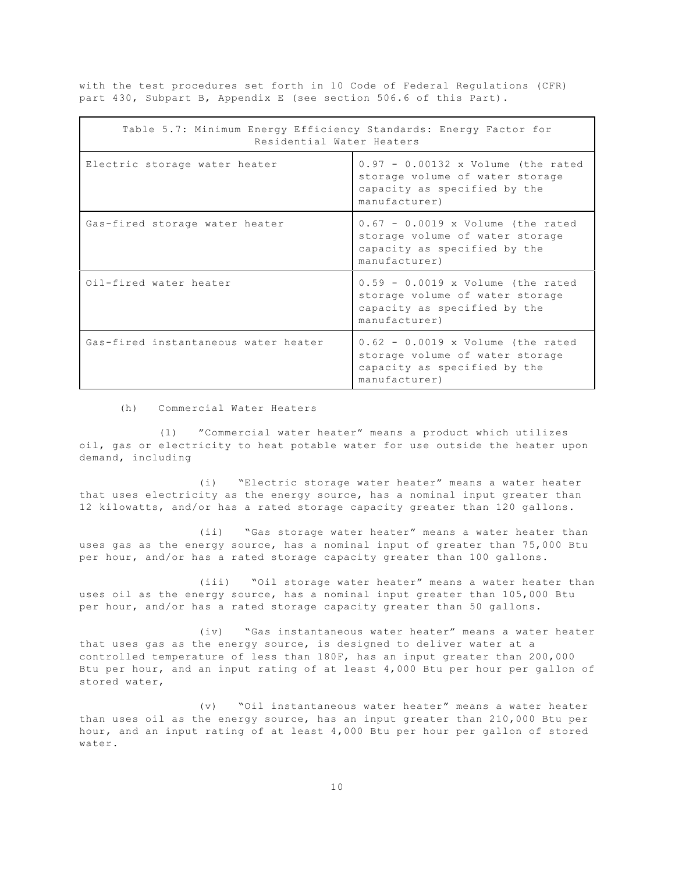with the test procedures set forth in 10 Code of Federal Regulations (CFR) part 430, Subpart B, Appendix E (see section 506.6 of this Part).

| Table 5.7: Minimum Energy Efficiency Standards: Energy Factor for<br>Residential Water Heaters |                                                                                                                          |
|------------------------------------------------------------------------------------------------|--------------------------------------------------------------------------------------------------------------------------|
| Electric storage water heater                                                                  | $0.97 - 0.00132$ x Volume (the rated<br>storage volume of water storage<br>capacity as specified by the<br>manufacturer) |
| Gas-fired storage water heater                                                                 | $0.67 - 0.0019$ x Volume (the rated<br>storage volume of water storage<br>capacity as specified by the<br>manufacturer)  |
| Oil-fired water heater                                                                         | $0.59 - 0.0019$ x Volume (the rated<br>storage volume of water storage<br>capacity as specified by the<br>manufacturer)  |
| Gas-fired instantaneous water heater                                                           | $0.62 - 0.0019$ x Volume (the rated<br>storage volume of water storage<br>capacity as specified by the<br>manufacturer)  |

(h) Commercial Water Heaters

(1) "Commercial water heater" means a product which utilizes oil, gas or electricity to heat potable water for use outside the heater upon demand, including

(i) "Electric storage water heater" means a water heater that uses electricity as the energy source, has a nominal input greater than 12 kilowatts, and/or has a rated storage capacity greater than 120 gallons.

(ii) "Gas storage water heater" means a water heater than uses gas as the energy source, has a nominal input of greater than 75,000 Btu per hour, and/or has a rated storage capacity greater than 100 gallons.

(iii) "Oil storage water heater" means a water heater than uses oil as the energy source, has a nominal input greater than 105,000 Btu per hour, and/or has a rated storage capacity greater than 50 gallons.

(iv) "Gas instantaneous water heater" means a water heater that uses gas as the energy source, is designed to deliver water at a controlled temperature of less than 180F, has an input greater than 200,000 Btu per hour, and an input rating of at least 4,000 Btu per hour per gallon of stored water,

(v) "Oil instantaneous water heater" means a water heater than uses oil as the energy source, has an input greater than 210,000 Btu per hour, and an input rating of at least 4,000 Btu per hour per gallon of stored water.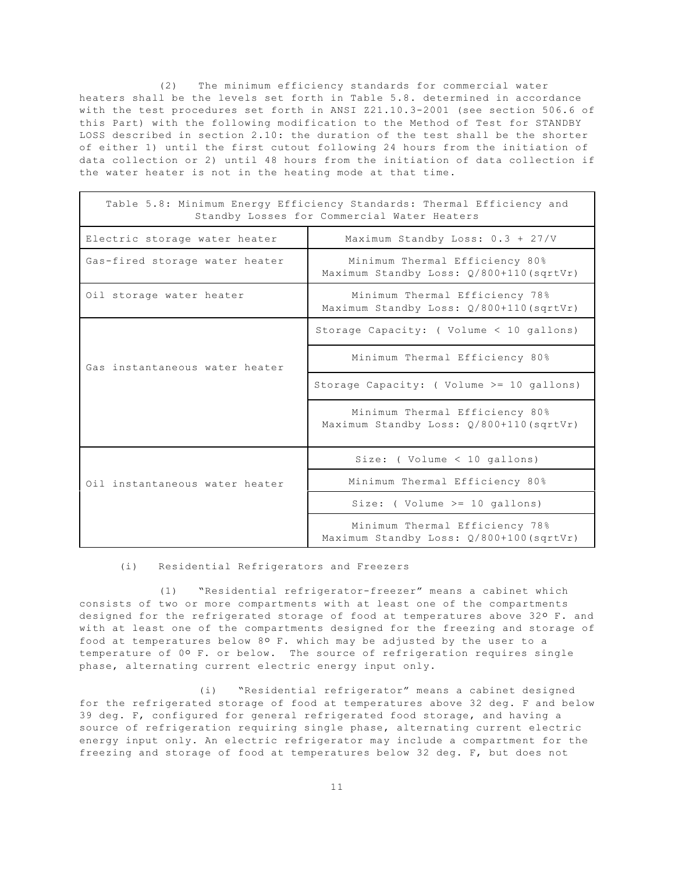(2) The minimum efficiency standards for commercial water heaters shall be the levels set forth in Table 5.8. determined in accordance with the test procedures set forth in ANSI Z21.10.3-2001 (see section 506.6 of this Part) with the following modification to the Method of Test for STANDBY LOSS described in section 2.10: the duration of the test shall be the shorter of either 1) until the first cutout following 24 hours from the initiation of data collection or 2) until 48 hours from the initiation of data collection if the water heater is not in the heating mode at that time.

|                                | Table 5.8: Minimum Energy Efficiency Standards: Thermal Efficiency and<br>Standby Losses for Commercial Water Heaters |
|--------------------------------|-----------------------------------------------------------------------------------------------------------------------|
| Electric storage water heater  | Maximum Standby Loss: 0.3 + 27/V                                                                                      |
| Gas-fired storage water heater | Minimum Thermal Efficiency 80%<br>Maximum Standby Loss: 0/800+110(sqrtVr)                                             |
| Oil storage water heater       | Minimum Thermal Efficiency 78%<br>Maximum Standby Loss: Q/800+110(sqrtVr)                                             |
|                                | Storage Capacity: ( Volume < 10 gallons)                                                                              |
| Gas instantaneous water heater | Minimum Thermal Efficiency 80%                                                                                        |
|                                | Storage Capacity: (Volume $>=$ 10 gallons)                                                                            |
|                                | Minimum Thermal Efficiency 80%<br>Maximum Standby Loss: 0/800+110(sqrtVr)                                             |
|                                | Size: ( $Volume < 10$ gallons)                                                                                        |
| Oil instantaneous water heater | Minimum Thermal Efficiency 80%                                                                                        |
|                                | Size: ( $Volume \ge 10$ gallons)                                                                                      |
|                                | Minimum Thermal Efficiency 78%<br>Maximum Standby Loss: Q/800+100 (sqrtVr)                                            |

#### (i) Residential Refrigerators and Freezers

(1) "Residential refrigerator-freezer" means a cabinet which consists of two or more compartments with at least one of the compartments designed for the refrigerated storage of food at temperatures above 32° F. and with at least one of the compartments designed for the freezing and storage of food at temperatures below 8º F. which may be adjusted by the user to a temperature of 0° F. or below. The source of refrigeration requires single phase, alternating current electric energy input only.

(i) "Residential refrigerator" means a cabinet designed for the refrigerated storage of food at temperatures above 32 deg. F and below 39 deg. F, configured for general refrigerated food storage, and having a source of refrigeration requiring single phase, alternating current electric energy input only. An electric refrigerator may include a compartment for the freezing and storage of food at temperatures below 32 deg. F, but does not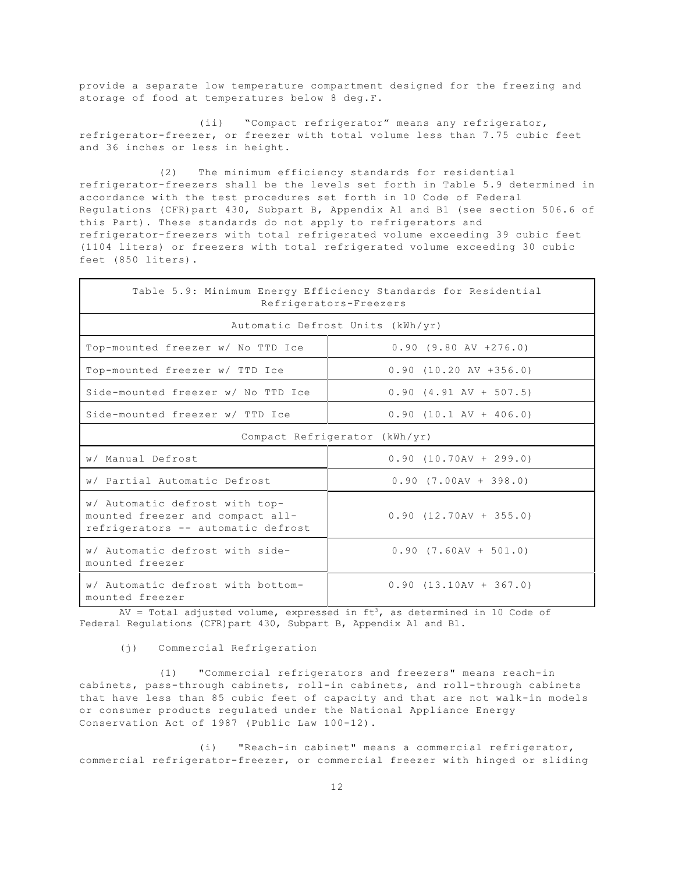provide a separate low temperature compartment designed for the freezing and storage of food at temperatures below 8 deg.F.

(ii) "Compact refrigerator" means any refrigerator, refrigerator-freezer, or freezer with total volume less than 7.75 cubic feet and 36 inches or less in height.

(2) The minimum efficiency standards for residential refrigerator-freezers shall be the levels set forth in Table 5.9 determined in accordance with the test procedures set forth in 10 Code of Federal Regulations (CFR)part 430, Subpart B, Appendix A1 and B1 (see section 506.6 of this Part). These standards do not apply to refrigerators and refrigerator-freezers with total refrigerated volume exceeding 39 cubic feet (1104 liters) or freezers with total refrigerated volume exceeding 30 cubic feet (850 liters).

|                                                                                                          | Table 5.9: Minimum Energy Efficiency Standards for Residential<br>Refrigerators-Freezers |
|----------------------------------------------------------------------------------------------------------|------------------------------------------------------------------------------------------|
|                                                                                                          | Automatic Defrost Units (kWh/yr)                                                         |
| Top-mounted freezer w/ No TTD Ice                                                                        | $0.90$ (9.80 AV +276.0)                                                                  |
| Top-mounted freezer w/ TTD Ice                                                                           | $0.90$ $(10.20$ AV $+356.0)$                                                             |
| Side-mounted freezer w/ No TTD Ice                                                                       | $0.90$ $(4.91$ AV + 507.5)                                                               |
| Side-mounted freezer w/ TTD Ice                                                                          | $0.90$ (10.1 AV + 406.0)                                                                 |
|                                                                                                          | Compact Refrigerator (kWh/yr)                                                            |
| w/ Manual Defrost                                                                                        | $0.90$ (10.70AV + 299.0)                                                                 |
| w/ Partial Automatic Defrost                                                                             | $0.90$ $(7.00AV + 398.0)$                                                                |
| w/ Automatic defrost with top-<br>mounted freezer and compact all-<br>refrigerators -- automatic defrost | $0.90$ $(12.70AV + 355.0)$                                                               |
| w/ Automatic defrost with side-<br>mounted freezer                                                       | $0.90$ $(7.60AV + 501.0)$                                                                |
| w/ Automatic defrost with bottom-<br>mounted freezer                                                     | $0.90$ $(13.10AV + 367.0)$                                                               |

AV = Total adjusted volume, expressed in ft3, as determined in 10 Code of Federal Regulations (CFR)part 430, Subpart B, Appendix A1 and B1.

(j) Commercial Refrigeration

(1) "Commercial refrigerators and freezers" means reach-in cabinets, pass-through cabinets, roll-in cabinets, and roll-through cabinets that have less than 85 cubic feet of capacity and that are not walk-in models or consumer products regulated under the National Appliance Energy Conservation Act of 1987 (Public Law 100-12).

(i) "Reach-in cabinet" means a commercial refrigerator, commercial refrigerator-freezer, or commercial freezer with hinged or sliding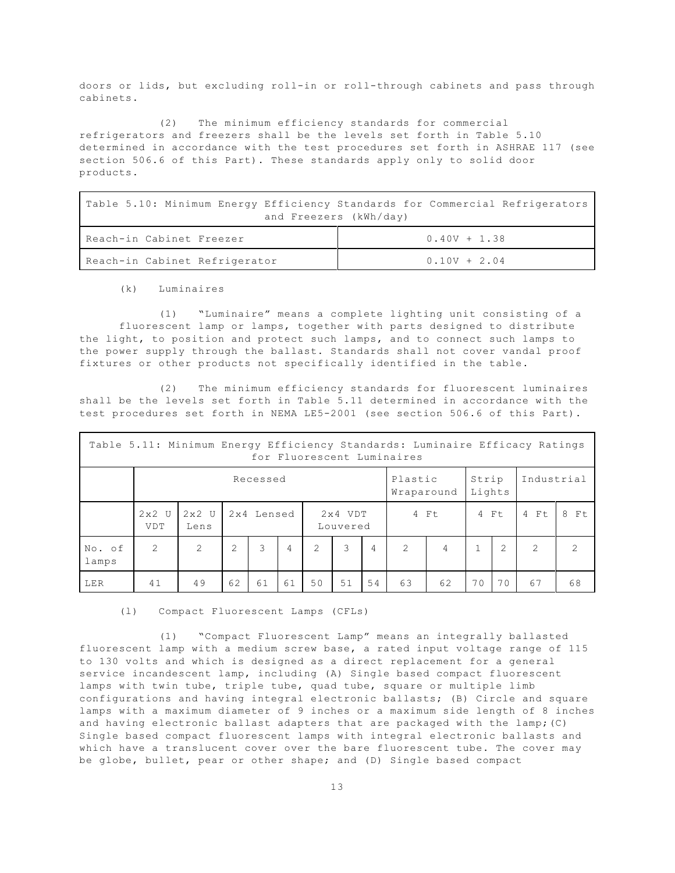doors or lids, but excluding roll-in or roll-through cabinets and pass through cabinets.

(2) The minimum efficiency standards for commercial refrigerators and freezers shall be the levels set forth in Table 5.10 determined in accordance with the test procedures set forth in ASHRAE 117 (see section 506.6 of this Part). These standards apply only to solid door products.

Table 5.10: Minimum Energy Efficiency Standards for Commercial Refrigerators and Freezers (kWh/day)

| l Reach-in Cabinet Freezer    | $0.40V + 1.38$ |
|-------------------------------|----------------|
| Reach-in Cabinet Refrigerator | $0.10V + 2.04$ |

(k) Luminaires

(1) "Luminaire" means a complete lighting unit consisting of a fluorescent lamp or lamps, together with parts designed to distribute the light, to position and protect such lamps, and to connect such lamps to the power supply through the ballast. Standards shall not cover vandal proof fixtures or other products not specifically identified in the table.

(2) The minimum efficiency standards for fluorescent luminaires shall be the levels set forth in Table 5.11 determined in accordance with the test procedures set forth in NEMA LE5-2001 (see section 506.6 of this Part).

|                 | Table 5.11: Minimum Energy Efficiency Standards: Luminaire Efficacy Ratings<br>for Fluorescent Luminaires |                 |                |            |    |                       |                                          |                |               |                |    |                |               |               |
|-----------------|-----------------------------------------------------------------------------------------------------------|-----------------|----------------|------------|----|-----------------------|------------------------------------------|----------------|---------------|----------------|----|----------------|---------------|---------------|
|                 | Recessed                                                                                                  |                 |                |            |    |                       | Plastic<br>Strip<br>Lights<br>Wraparound |                |               | Industrial     |    |                |               |               |
|                 | $2x2$ U<br><b>VDT</b>                                                                                     | $2x2$ U<br>Lens |                | 2x4 Lensed |    | $2x4$ VDT<br>Louvered |                                          | 4 Ft           |               | 4 Ft           |    | 4 Ft           | 8 Ft          |               |
| No. of<br>lamps | $\overline{2}$                                                                                            | 2               | $\overline{2}$ | 3          | 4  | 2                     | 3                                        | $\overline{4}$ | $\mathcal{L}$ | $\overline{4}$ |    | $\overline{2}$ | $\mathcal{L}$ | $\mathcal{P}$ |
| LER             | 41                                                                                                        | 49              | 62             | 61         | 61 | 50                    | 51                                       | 54             | 63            | 62             | 70 | 70             | 67            | 68            |

(l) Compact Fluorescent Lamps (CFLs)

(1) "Compact Fluorescent Lamp" means an integrally ballasted fluorescent lamp with a medium screw base, a rated input voltage range of 115 to 130 volts and which is designed as a direct replacement for a general service incandescent lamp, including (A) Single based compact fluorescent lamps with twin tube, triple tube, quad tube, square or multiple limb configurations and having integral electronic ballasts; (B) Circle and square lamps with a maximum diameter of 9 inches or a maximum side length of 8 inches and having electronic ballast adapters that are packaged with the lamp;(C) Single based compact fluorescent lamps with integral electronic ballasts and which have a translucent cover over the bare fluorescent tube. The cover may be globe, bullet, pear or other shape; and (D) Single based compact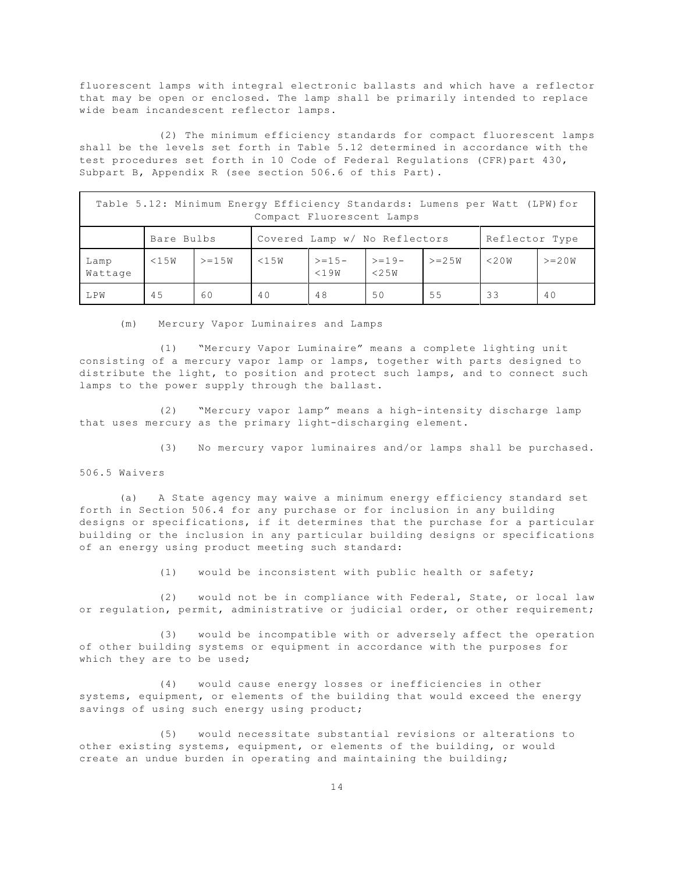fluorescent lamps with integral electronic ballasts and which have a reflector that may be open or enclosed. The lamp shall be primarily intended to replace wide beam incandescent reflector lamps.

(2) The minimum efficiency standards for compact fluorescent lamps shall be the levels set forth in Table 5.12 determined in accordance with the test procedures set forth in 10 Code of Federal Regulations (CFR)part 430, Subpart B, Appendix R (see section 506.6 of this Part).

| Table 5.12: Minimum Energy Efficiency Standards: Lumens per Watt (LPW) for<br>Compact Fluorescent Lamps |            |         |                               |                    |                    |                |        |           |  |  |
|---------------------------------------------------------------------------------------------------------|------------|---------|-------------------------------|--------------------|--------------------|----------------|--------|-----------|--|--|
|                                                                                                         | Bare Bulbs |         | Covered Lamp w/ No Reflectors |                    |                    | Reflector Type |        |           |  |  |
| Lamp<br>Wattage                                                                                         | $<$ 15W    | $>=15W$ | $<$ 15W                       | $> = 15 -$<br><19W | $> = 19 -$<br><25W | $>= 2.5W$      | < 2.0W | $>= 2.0W$ |  |  |
| T.PW                                                                                                    | 45         | 60      | 40                            | 48                 | 50                 | 55             | 33     | 40        |  |  |

(m) Mercury Vapor Luminaires and Lamps

(1) "Mercury Vapor Luminaire" means a complete lighting unit consisting of a mercury vapor lamp or lamps, together with parts designed to distribute the light, to position and protect such lamps, and to connect such lamps to the power supply through the ballast.

(2) "Mercury vapor lamp" means a high-intensity discharge lamp that uses mercury as the primary light-discharging element.

(3) No mercury vapor luminaires and/or lamps shall be purchased.

## 506.5 Waivers

(a) A State agency may waive a minimum energy efficiency standard set forth in Section 506.4 for any purchase or for inclusion in any building designs or specifications, if it determines that the purchase for a particular building or the inclusion in any particular building designs or specifications of an energy using product meeting such standard:

(1) would be inconsistent with public health or safety;

(2) would not be in compliance with Federal, State, or local law or regulation, permit, administrative or judicial order, or other requirement;

(3) would be incompatible with or adversely affect the operation of other building systems or equipment in accordance with the purposes for which they are to be used;

(4) would cause energy losses or inefficiencies in other systems, equipment, or elements of the building that would exceed the energy savings of using such energy using product;

(5) would necessitate substantial revisions or alterations to other existing systems, equipment, or elements of the building, or would create an undue burden in operating and maintaining the building;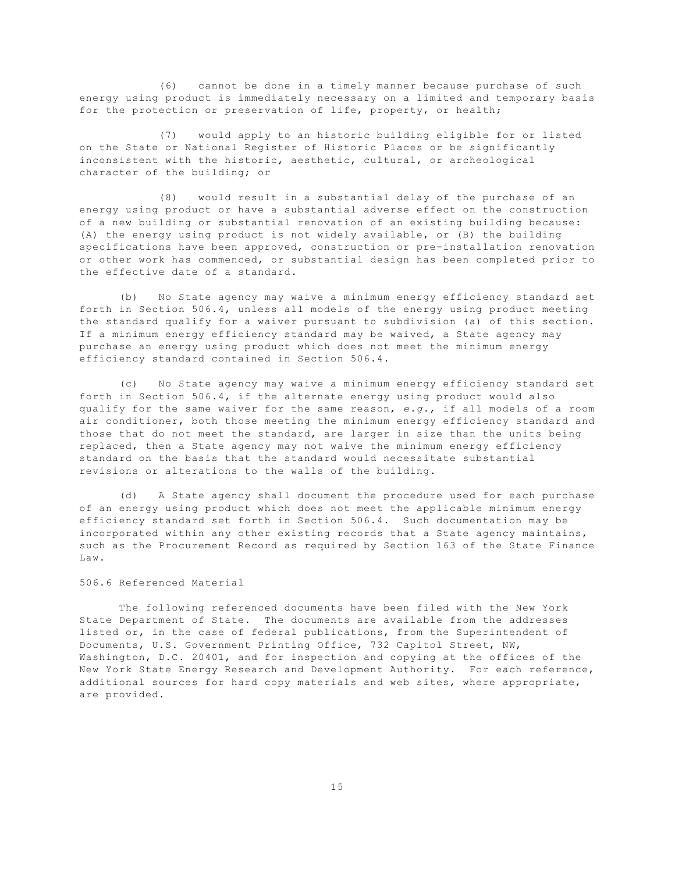(6) cannot be done in a timely manner because purchase of such energy using product is immediately necessary on a limited and temporary basis for the protection or preservation of life, property, or health;

(7) would apply to an historic building eligible for or listed on the State or National Register of Historic Places or be significantly inconsistent with the historic, aesthetic, cultural, or archeological character of the building; or

(8) would result in a substantial delay of the purchase of an energy using product or have a substantial adverse effect on the construction of a new building or substantial renovation of an existing building because: (A) the energy using product is not widely available, or (B) the building specifications have been approved, construction or pre-installation renovation or other work has commenced, or substantial design has been completed prior to the effective date of a standard.

(b) No State agency may waive a minimum energy efficiency standard set forth in Section 506.4, unless all models of the energy using product meeting the standard qualify for a waiver pursuant to subdivision (a) of this section. If a minimum energy efficiency standard may be waived, a State agency may purchase an energy using product which does not meet the minimum energy efficiency standard contained in Section 506.4.

(c) No State agency may waive a minimum energy efficiency standard set forth in Section 506.4, if the alternate energy using product would also qualify for the same waiver for the same reason, *e.g*., if all models of a room air conditioner, both those meeting the minimum energy efficiency standard and those that do not meet the standard, are larger in size than the units being replaced, then a State agency may not waive the minimum energy efficiency standard on the basis that the standard would necessitate substantial revisions or alterations to the walls of the building.

(d) A State agency shall document the procedure used for each purchase of an energy using product which does not meet the applicable minimum energy efficiency standard set forth in Section 506.4. Such documentation may be incorporated within any other existing records that a State agency maintains, such as the Procurement Record as required by Section 163 of the State Finance Law.

## 506.6 Referenced Material

The following referenced documents have been filed with the New York State Department of State. The documents are available from the addresses listed or, in the case of federal publications, from the Superintendent of Documents, U.S. Government Printing Office, 732 Capitol Street, NW, Washington, D.C. 20401, and for inspection and copying at the offices of the New York State Energy Research and Development Authority. For each reference, additional sources for hard copy materials and web sites, where appropriate, are provided.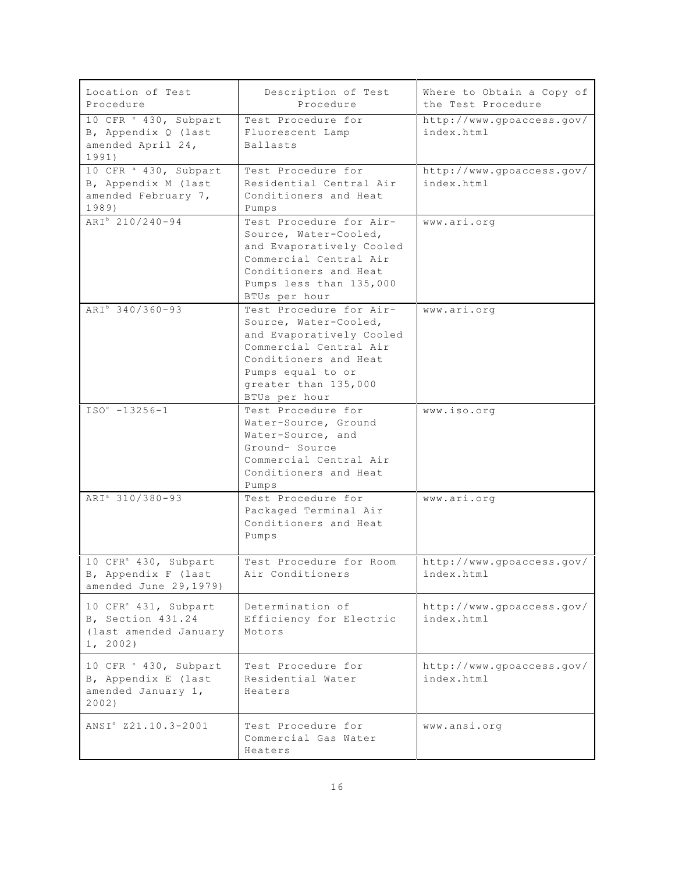| Location of Test<br>Procedure                                                              | Description of Test<br>Procedure                                                                                                                                                              | Where to Obtain a Copy of<br>the Test Procedure |
|--------------------------------------------------------------------------------------------|-----------------------------------------------------------------------------------------------------------------------------------------------------------------------------------------------|-------------------------------------------------|
| 10 CFR <sup>a</sup> 430, Subpart<br>B, Appendix Q (last<br>amended April 24,<br>1991)      | Test Procedure for<br>Fluorescent Lamp<br>Ballasts                                                                                                                                            | http://www.gpoaccess.gov/<br>index.html         |
| 10 CFR <sup>a</sup> 430, Subpart<br>B, Appendix M (last<br>amended February 7,<br>1989)    | Test Procedure for<br>Residential Central Air<br>Conditioners and Heat<br>Pumps                                                                                                               | http://www.gpoaccess.gov/<br>index.html         |
| ARI <sup>b</sup> 210/240-94                                                                | Test Procedure for Air-<br>Source, Water-Cooled,<br>and Evaporatively Cooled<br>Commercial Central Air<br>Conditioners and Heat<br>Pumps less than 135,000<br>BTUs per hour                   | www.ari.org                                     |
| ARI <sup>b</sup> 340/360-93                                                                | Test Procedure for Air-<br>Source, Water-Cooled,<br>and Evaporatively Cooled<br>Commercial Central Air<br>Conditioners and Heat<br>Pumps equal to or<br>greater than 135,000<br>BTUs per hour | www.ari.org                                     |
| $ISOc -13256-1$                                                                            | Test Procedure for<br>Water-Source, Ground<br>Water-Source, and<br>Ground- Source<br>Commercial Central Air<br>Conditioners and Heat<br>Pumps                                                 | www.iso.org                                     |
| ARI <sup>a</sup> 310/380-93                                                                | Test Procedure for<br>Packaged Terminal Air<br>Conditioners and Heat<br>Pumps                                                                                                                 | www.ari.org                                     |
| 10 CFR <sup>a</sup> 430, Subpart<br>B, Appendix F (last<br>amended June 29, 1979)          | Test Procedure for Room<br>Air Conditioners                                                                                                                                                   | http://www.gpoaccess.gov/<br>index.html         |
| 10 CFR <sup>a</sup> 431, Subpart<br>B, Section 431.24<br>(last amended January<br>1, 2002) | Determination of<br>Efficiency for Electric<br>Motors                                                                                                                                         | http://www.gpoaccess.gov/<br>index.html         |
| 10 CFR <sup>a</sup> 430, Subpart<br>B, Appendix E (last<br>amended January 1,<br>2002)     | Test Procedure for<br>Residential Water<br>Heaters                                                                                                                                            | http://www.gpoaccess.gov/<br>index.html         |
| ANSI <sup>a</sup> Z21.10.3-2001                                                            | Test Procedure for<br>Commercial Gas Water<br>Heaters                                                                                                                                         | www.ansi.org                                    |